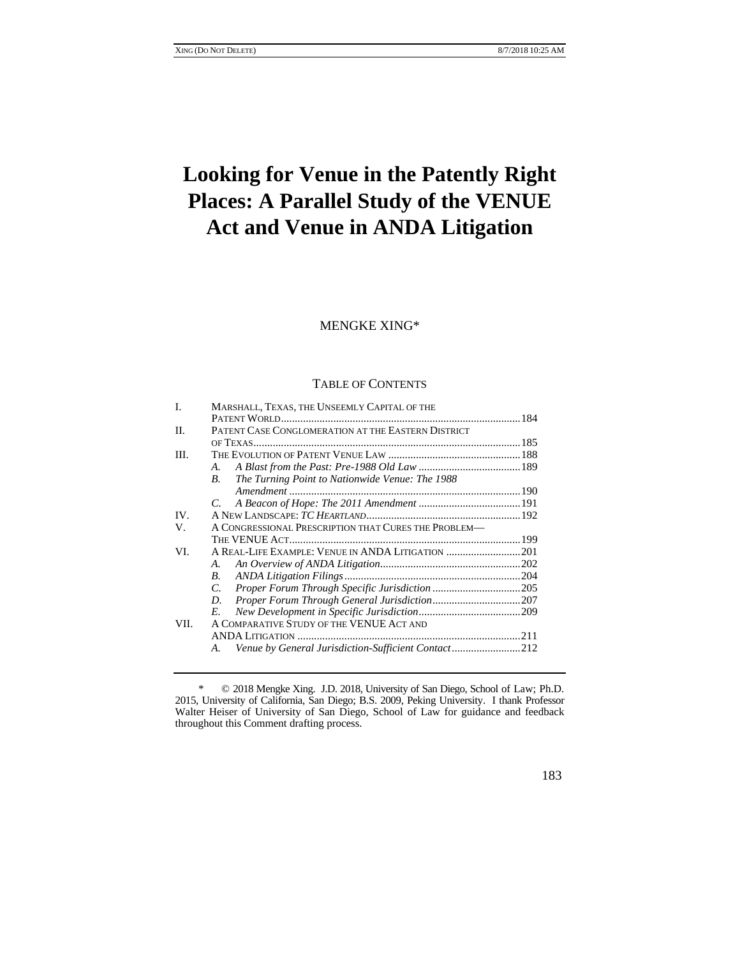# **Looking for Venue in the Patently Right Places: A Parallel Study of the VENUE Act and Venue in ANDA Litigation**

# MENGKE XING\*

# TABLE OF CONTENTS

| L    | MARSHALL, TEXAS, THE UNSEEMLY CAPITAL OF THE                       |  |
|------|--------------------------------------------------------------------|--|
|      |                                                                    |  |
| H.   | PATENT CASE CONGLOMERATION AT THE EASTERN DISTRICT                 |  |
|      |                                                                    |  |
| III. |                                                                    |  |
|      | A.                                                                 |  |
|      | The Turning Point to Nationwide Venue: The 1988<br>В.              |  |
|      |                                                                    |  |
|      |                                                                    |  |
| IV.  |                                                                    |  |
| V.   | A CONGRESSIONAL PRESCRIPTION THAT CURES THE PROBLEM—               |  |
|      |                                                                    |  |
| VI.  |                                                                    |  |
|      | A.                                                                 |  |
|      | В.                                                                 |  |
|      | C.                                                                 |  |
|      | D.                                                                 |  |
|      | E.                                                                 |  |
| VII. | A COMPARATIVE STUDY OF THE VENUE ACT AND                           |  |
|      |                                                                    |  |
|      | Venue by General Jurisdiction-Sufficient Contact212<br>$A_{\cdot}$ |  |
|      |                                                                    |  |

<sup>\* © 2018</sup> Mengke Xing. J.D. 2018, University of San Diego, School of Law; Ph.D. 2015, University of California, San Diego; B.S. 2009, Peking University. I thank Professor Walter Heiser of University of San Diego, School of Law for guidance and feedback throughout this Comment drafting process.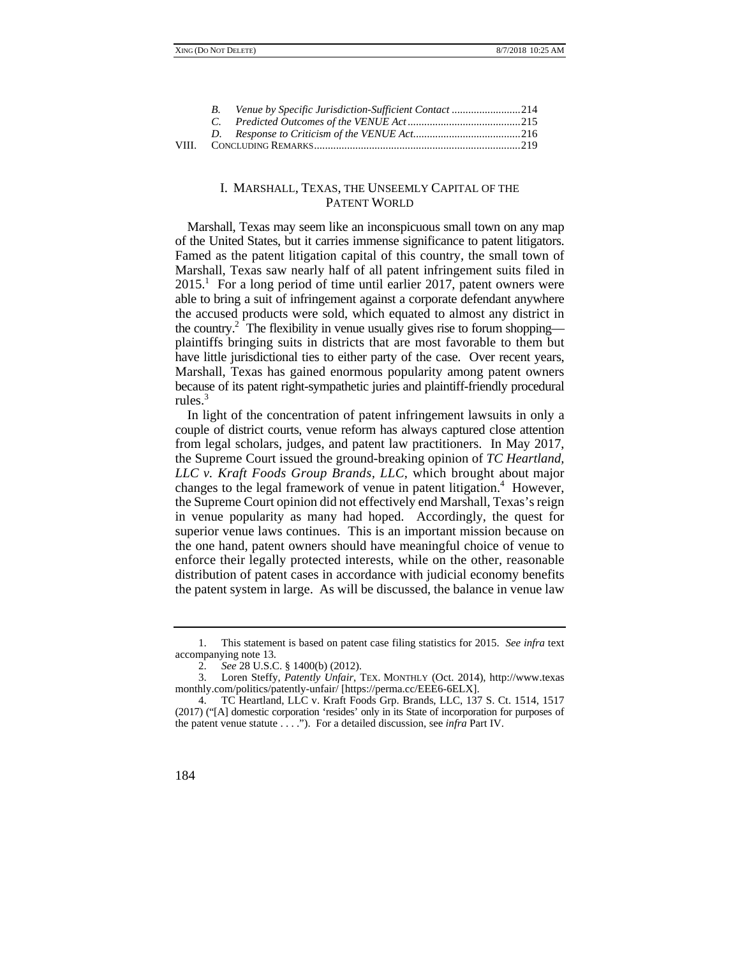|       | Venue by Specific Jurisdiction-Sufficient Contact 214 |  |
|-------|-------------------------------------------------------|--|
|       |                                                       |  |
|       |                                                       |  |
| VIII. |                                                       |  |

# I. MARSHALL, TEXAS, THE UNSEEMLY CAPITAL OF THE PATENT WORLD

 Marshall, Texas may seem like an inconspicuous small town on any map the accused products were sold, which equated to almost any district in the country.<sup>2</sup> The flexibility in venue usually gives rise to forum shopping of the United States, but it carries immense significance to patent litigators. Famed as the patent litigation capital of this country, the small town of Marshall, Texas saw nearly half of all patent infringement suits filed in 2015.<sup>1</sup> For a long period of time until earlier 2017, patent owners were able to bring a suit of infringement against a corporate defendant anywhere plaintiffs bringing suits in districts that are most favorable to them but have little jurisdictional ties to either party of the case. Over recent years, Marshall, Texas has gained enormous popularity among patent owners because of its patent right-sympathetic juries and plaintiff-friendly procedural rules.<sup>3</sup>

In light of the concentration of patent infringement lawsuits in only a couple of district courts, venue reform has always captured close attention from legal scholars, judges, and patent law practitioners. In May 2017, the Supreme Court issued the ground-breaking opinion of *TC Heartland, LLC v. Kraft Foods Group Brands, LLC*, which brought about major changes to the legal framework of venue in patent litigation.<sup>4</sup> However, the Supreme Court opinion did not effectively end Marshall, Texas's reign in venue popularity as many had hoped. Accordingly, the quest for superior venue laws continues. This is an important mission because on the one hand, patent owners should have meaningful choice of venue to enforce their legally protected interests, while on the other, reasonable distribution of patent cases in accordance with judicial economy benefits the patent system in large. As will be discussed, the balance in venue law

 (2017) ("[A] domestic corporation 'resides' only in its State of incorporation for purposes of 4. TC Heartland, LLC v. Kraft Foods Grp. Brands, LLC, 137 S. Ct. 1514, 1517 the patent venue statute . . . ."). For a detailed discussion, see *infra* Part IV.



<sup>1.</sup> This statement is based on patent case filing statistics for 2015. *See infra* text accompanying note 13.

<sup>2.</sup> *See* 28 U.S.C. § 1400(b) (2012).

<sup>3.</sup> Loren Steffy, *Patently Unfair*, TEX. MONTHLY (Oct. 2014), http://www.texas monthly.com/politics/patently-unfair/ [https://perma.cc/EEE6-6ELX].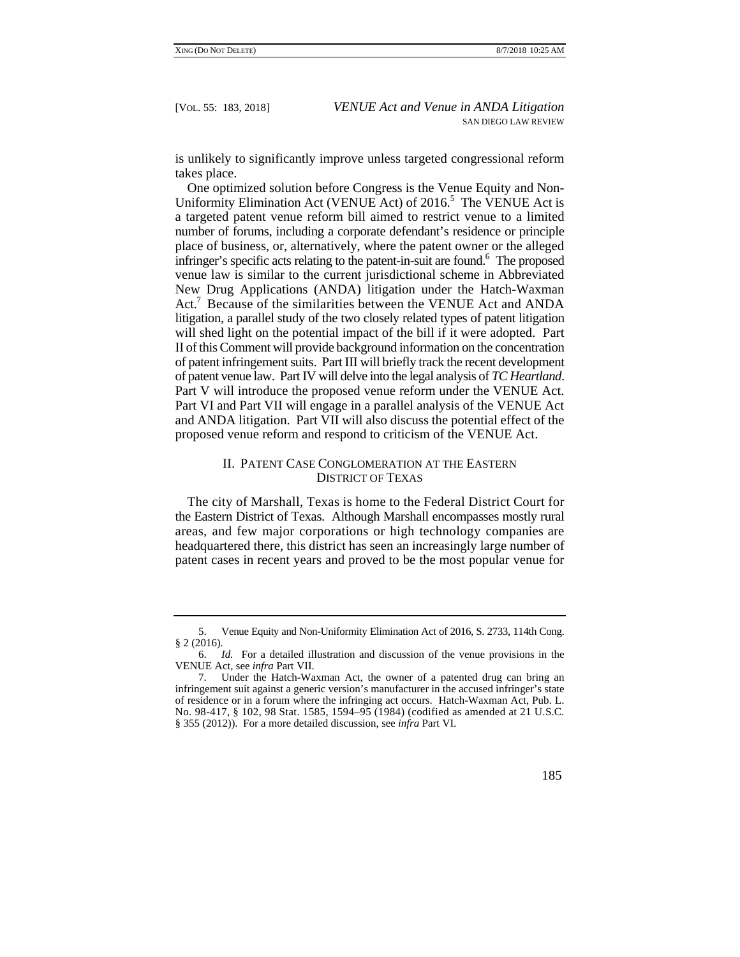is unlikely to significantly improve unless targeted congressional reform takes place.

Uniformity Elimination Act (VENUE Act) of 2016.<sup>5</sup> The VENUE Act is Act.<sup>7</sup> Because of the similarities between the VENUE Act and ANDA One optimized solution before Congress is the Venue Equity and Nona targeted patent venue reform bill aimed to restrict venue to a limited number of forums, including a corporate defendant's residence or principle place of business, or, alternatively, where the patent owner or the alleged infringer's specific acts relating to the patent-in-suit are found.<sup>6</sup> The proposed venue law is similar to the current jurisdictional scheme in Abbreviated New Drug Applications (ANDA) litigation under the Hatch-Waxman litigation, a parallel study of the two closely related types of patent litigation will shed light on the potential impact of the bill if it were adopted. Part II of this Comment will provide background information on the concentration of patent infringement suits. Part III will briefly track the recent development of patent venue law. Part IV will delve into the legal analysis of *TC Heartland*. Part V will introduce the proposed venue reform under the VENUE Act. Part VI and Part VII will engage in a parallel analysis of the VENUE Act and ANDA litigation. Part VII will also discuss the potential effect of the proposed venue reform and respond to criticism of the VENUE Act.

# II. PATENT CASE CONGLOMERATION AT THE EASTERN DISTRICT OF TEXAS

 areas, and few major corporations or high technology companies are The city of Marshall, Texas is home to the Federal District Court for the Eastern District of Texas. Although Marshall encompasses mostly rural headquartered there, this district has seen an increasingly large number of patent cases in recent years and proved to be the most popular venue for

<sup>7.</sup> Under the Hatch-Waxman Act, the owner of a patented drug can bring an infringement suit against a generic version's manufacturer in the accused infringer's state of residence or in a forum where the infringing act occurs. Hatch-Waxman Act, Pub. L. No. 98-417, § 102, 98 Stat. 1585, 1594–95 (1984) (codified as amended at 21 U.S.C. § 355 (2012)). For a more detailed discussion, see *infra* Part VI.



<sup>5.</sup> Venue Equity and Non-Uniformity Elimination Act of 2016, S. 2733, 114th Cong. § 2 (2016).

<sup>6.</sup> *Id.* For a detailed illustration and discussion of the venue provisions in the VENUE Act, see *infra* Part VII.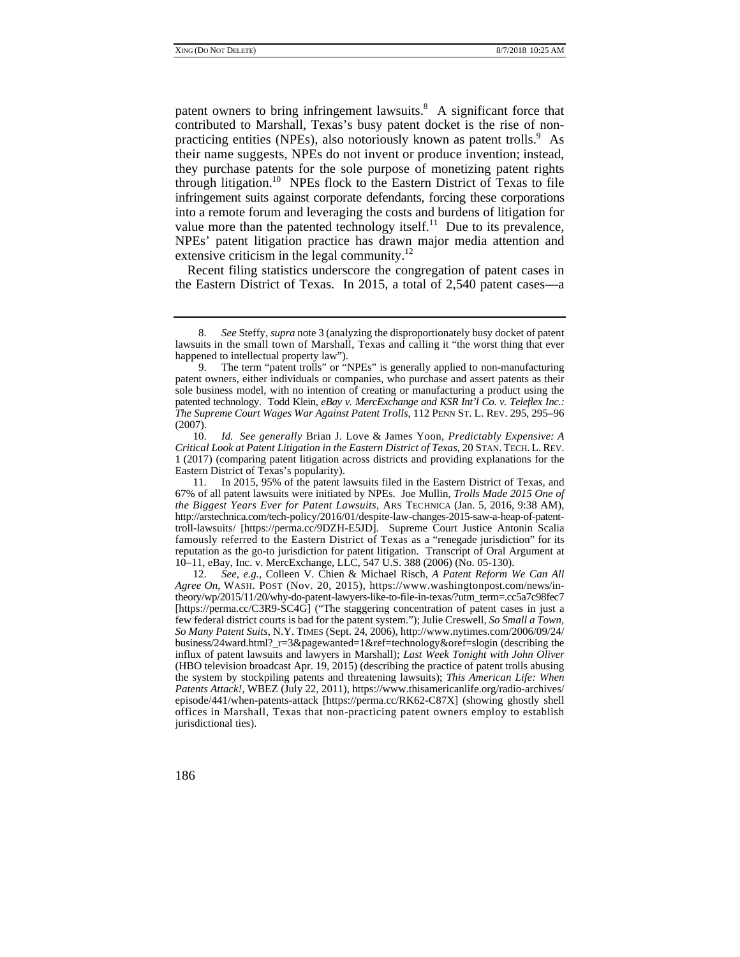their name suggests, NPEs do not invent or produce invention; instead, patent owners to bring infringement lawsuits. $8$  A significant force that contributed to Marshall, Texas's busy patent docket is the rise of nonpracticing entities (NPEs), also notoriously known as patent trolls.<sup>9</sup> As they purchase patents for the sole purpose of monetizing patent rights through litigation.<sup>10</sup> NPEs flock to the Eastern District of Texas to file infringement suits against corporate defendants, forcing these corporations into a remote forum and leveraging the costs and burdens of litigation for value more than the patented technology itself.<sup>11</sup> Due to its prevalence, NPEs' patent litigation practice has drawn major media attention and extensive criticism in the legal community.<sup>12</sup>

Recent filing statistics underscore the congregation of patent cases in the Eastern District of Texas. In 2015, a total of 2,540 patent cases—a

 10. *Id. See generally* Brian J. Love & James Yoon, *Predictably Expensive: A Critical Look at Patent Litigation in the Eastern District of Texas*, 20 STAN. TECH. L. REV. 1 (2017) (comparing patent litigation across districts and providing explanations for the Eastern District of Texas's popularity).

 famously referred to the Eastern District of Texas as a "renegade jurisdiction" for its reputation as the go-to jurisdiction for patent litigation. Transcript of Oral Argument at 11. In 2015, 95% of the patent lawsuits filed in the Eastern District of Texas, and 67% of all patent lawsuits were initiated by NPEs. Joe Mullin, *Trolls Made 2015 One of the Biggest Years Ever for Patent Lawsuits*, ARS TECHNICA (Jan. 5, 2016, 9:38 AM), http://arstechnica.com/tech-policy/2016/01/despite-law-changes-2015-saw-a-heap-of-patenttroll-lawsuits/ [https://perma.cc/9DZH-E5JD]. Supreme Court Justice Antonin Scalia 10–11, eBay, Inc. v. MercExchange, LLC, 547 U.S. 388 (2006) (No. 05-130).

 few federal district courts is bad for the patent system."); Julie Creswell, *So Small a Town,*  offices in Marshall, Texas that non-practicing patent owners employ to establish 12. *See, e.g.*, Colleen V. Chien & Michael Risch, *A Patent Reform We Can All Agree On*, WASH. POST (Nov. 20, 2015), https://www.washingtonpost.com/news/intheory/wp/2015/11/20/why-do-patent-lawyers-like-to-file-in-texas/?utm\_term=.cc5a7c98fec7 [https://perma.cc/C3R9-SC4G] ("The staggering concentration of patent cases in just a *So Many Patent Suits*, N.Y. TIMES (Sept. 24, 2006), http://www.nytimes.com/2006/09/24/ business/24ward.html?\_r=3&pagewanted=1&ref=technology&oref=slogin (describing the influx of patent lawsuits and lawyers in Marshall); *Last Week Tonight with John Oliver* (HBO television broadcast Apr. 19, 2015) (describing the practice of patent trolls abusing the system by stockpiling patents and threatening lawsuits); *This American Life: When Patents Attack!*, WBEZ (July 22, 2011), https://www.thisamericanlife.org/radio-archives/ episode/441/when-patents-attack [https://perma.cc/RK62-C87X] (showing ghostly shell jurisdictional ties).

 lawsuits in the small town of Marshall, Texas and calling it "the worst thing that ever 8. *See* Steffy, *supra* note 3 (analyzing the disproportionately busy docket of patent happened to intellectual property law").

 patented technology. Todd Klein, *eBay v. MercExchange and KSR Int'l Co. v. Teleflex Inc.:* 9. The term "patent trolls" or "NPEs" is generally applied to non-manufacturing patent owners, either individuals or companies, who purchase and assert patents as their sole business model, with no intention of creating or manufacturing a product using the *The Supreme Court Wages War Against Patent Trolls*, 112 PENN ST. L. REV. 295, 295–96 (2007).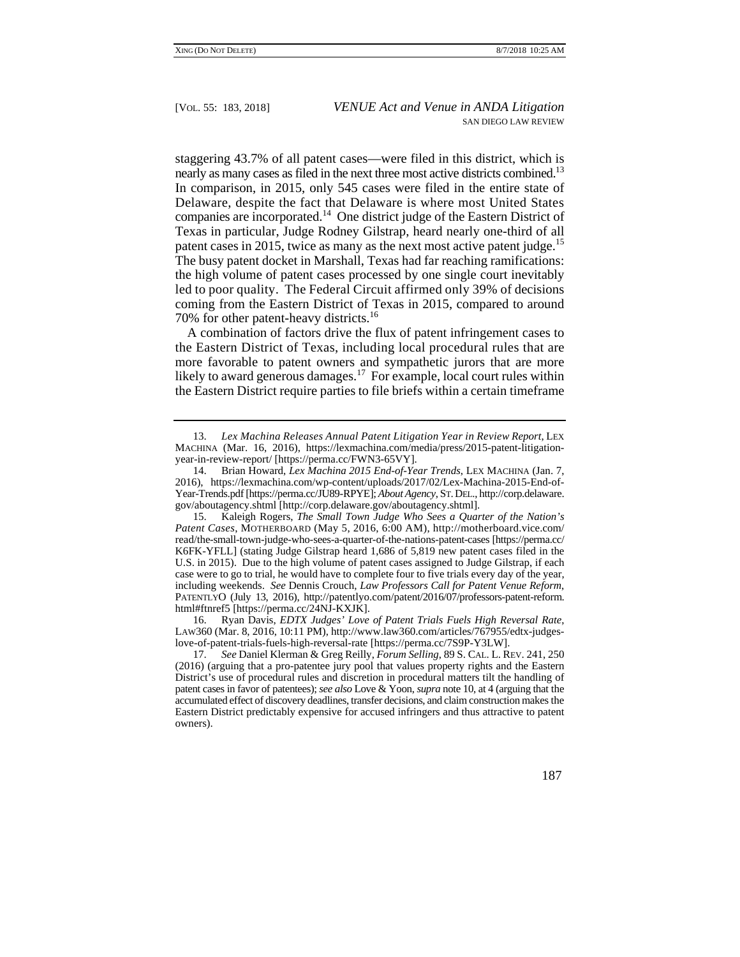nearly as many cases as filed in the next three most active districts combined.<sup>13</sup> Delaware, despite the fact that Delaware is where most United States patent cases in 2015, twice as many as the next most active patent judge.<sup>15</sup> staggering 43.7% of all patent cases—were filed in this district, which is In comparison, in 2015, only 545 cases were filed in the entire state of companies are incorporated.14 One district judge of the Eastern District of Texas in particular, Judge Rodney Gilstrap, heard nearly one-third of all The busy patent docket in Marshall, Texas had far reaching ramifications: the high volume of patent cases processed by one single court inevitably led to poor quality. The Federal Circuit affirmed only 39% of decisions coming from the Eastern District of Texas in 2015, compared to around 70% for other patent-heavy districts.16

A combination of factors drive the flux of patent infringement cases to the Eastern District of Texas, including local procedural rules that are more favorable to patent owners and sympathetic jurors that are more likely to award generous damages.<sup>17</sup> For example, local court rules within the Eastern District require parties to file briefs within a certain timeframe

 15. Kaleigh Rogers, *The Small Town Judge Who Sees a Quarter of the Nation's Patent Cases*, MOTHERBOARD (May 5, 2016, 6:00 AM), http://motherboard.vice.com/ read/the-small-town-judge-who-sees-a-quarter-of-the-nations-patent-cases [https://perma.cc/ K6FK-YFLL] (stating Judge Gilstrap heard 1,686 of 5,819 new patent cases filed in the U.S. in 2015). Due to the high volume of patent cases assigned to Judge Gilstrap, if each case were to go to trial, he would have to complete four to five trials every day of the year, including weekends. *See* Dennis Crouch, *Law Professors Call for Patent Venue Reform*, PATENTLYO (July 13, 2016), http://patentlyo.com/patent/2016/07/professors-patent-reform. html#ftnref5 [https://perma.cc/24NJ-KXJK].

 16. Ryan Davis, *EDTX Judges' Love of Patent Trials Fuels High Reversal Rate*, LAW360 (Mar. 8, 2016, 10:11 PM), http://www.law360.com/articles/767955/edtx-judgeslove-of-patent-trials-fuels-high-reversal-rate [https://perma.cc/7S9P-Y3LW].

 <sup>13.</sup> *Lex Machina Releases Annual Patent Litigation Year in Review Report*, LEX MACHINA (Mar. 16, 2016), https://lexmachina.com/media/press/2015-patent-litigationyear-in-review-report/ [https://perma.cc/FWN3-65VY].

<sup>14.</sup> Brian Howard, *Lex Machina 2015 End-of-Year Trends*, LEX MACHINA (Jan. 7, 2016), https://lexmachina.com/wp-content/uploads/2017/02/Lex-Machina-2015-End-of-Year-Trends.pdf [https://perma.cc/JU89-RPYE]; *About Agency*, ST. DEL., http://corp.delaware. gov/aboutagency.shtml [http://corp.delaware.gov/aboutagency.shtml].

 patent cases in favor of patentees); *see also* Love & Yoon, *supra* note 10, at 4 (arguing that the accumulated effect of discovery deadlines, transfer decisions, and claim construction makes the 17. *See* Daniel Klerman & Greg Reilly, *Forum Selling*, 89 S. CAL. L. REV. 241, 250 (2016) (arguing that a pro-patentee jury pool that values property rights and the Eastern District's use of procedural rules and discretion in procedural matters tilt the handling of Eastern District predictably expensive for accused infringers and thus attractive to patent owners).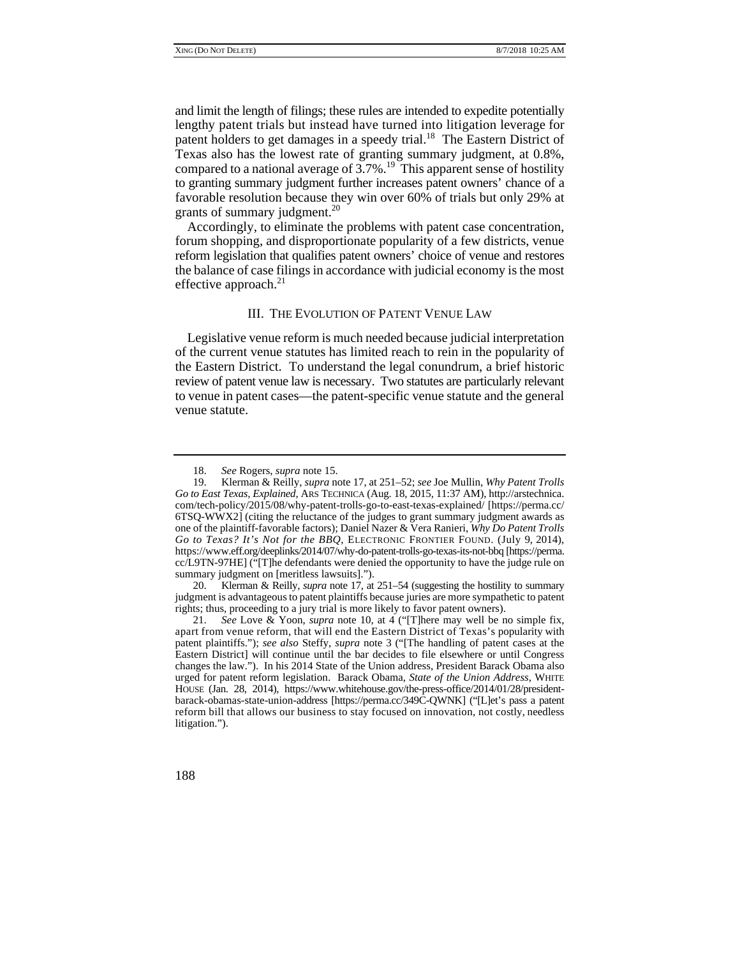lengthy patent trials but instead have turned into litigation leverage for compared to a national average of  $3.7\%$ .<sup>19</sup> This apparent sense of hostility and limit the length of filings; these rules are intended to expedite potentially patent holders to get damages in a speedy trial.<sup>18</sup> The Eastern District of Texas also has the lowest rate of granting summary judgment, at 0.8%, to granting summary judgment further increases patent owners' chance of a favorable resolution because they win over 60% of trials but only 29% at grants of summary judgment.<sup>20</sup>

Accordingly, to eliminate the problems with patent case concentration, forum shopping, and disproportionate popularity of a few districts, venue reform legislation that qualifies patent owners' choice of venue and restores the balance of case filings in accordance with judicial economy is the most effective approach. $^{21}$ 

# III. THE EVOLUTION OF PATENT VENUE LAW

Legislative venue reform is much needed because judicial interpretation of the current venue statutes has limited reach to rein in the popularity of the Eastern District. To understand the legal conundrum, a brief historic review of patent venue law is necessary. Two statutes are particularly relevant to venue in patent cases—the patent-specific venue statute and the general venue statute.

20. Klerman & Reilly, *supra* note 17, at 251–54 (suggesting the hostility to summary judgment is advantageous to patent plaintiffs because juries are more sympathetic to patent rights; thus, proceeding to a jury trial is more likely to favor patent owners).

 apart from venue reform, that will end the Eastern District of Texas's popularity with reform bill that allows our business to stay focused on innovation, not costly, needless 21. *See* Love & Yoon, *supra* note 10, at 4 ("[T]here may well be no simple fix, patent plaintiffs."); *see also* Steffy, *supra* note 3 ("[The handling of patent cases at the Eastern District] will continue until the bar decides to file elsewhere or until Congress changes the law."). In his 2014 State of the Union address, President Barack Obama also urged for patent reform legislation. Barack Obama, *State of the Union Address*, WHITE HOUSE (Jan. 28, 2014), https://www.whitehouse.gov/the-press-office/2014/01/28/presidentbarack-obamas-state-union-address [https://perma.cc/349C-QWNK] ("[L]et's pass a patent litigation.").



<sup>18.</sup> *See* Rogers, *supra* note 15.

<sup>19.</sup> Klerman & Reilly, *supra* note 17, at 251–52; *see* Joe Mullin, *Why Patent Trolls Go to East Texas, Explained*, ARS TECHNICA (Aug. 18, 2015, 11:37 AM), http://arstechnica. com/tech-policy/2015/08/why-patent-trolls-go-to-east-texas-explained/ [https://perma.cc/ 6TSQ-WWX2] (citing the reluctance of the judges to grant summary judgment awards as one of the plaintiff-favorable factors); Daniel Nazer & Vera Ranieri, *Why Do Patent Trolls Go to Texas? It's Not for the BBQ*, ELECTRONIC FRONTIER FOUND. (July 9, 2014), https://www.eff.org/deeplinks/2014/07/why-do-patent-trolls-go-texas-its-not-bbq [https://perma. cc/L9TN-97HE] ("[T]he defendants were denied the opportunity to have the judge rule on summary judgment on [meritless lawsuits].").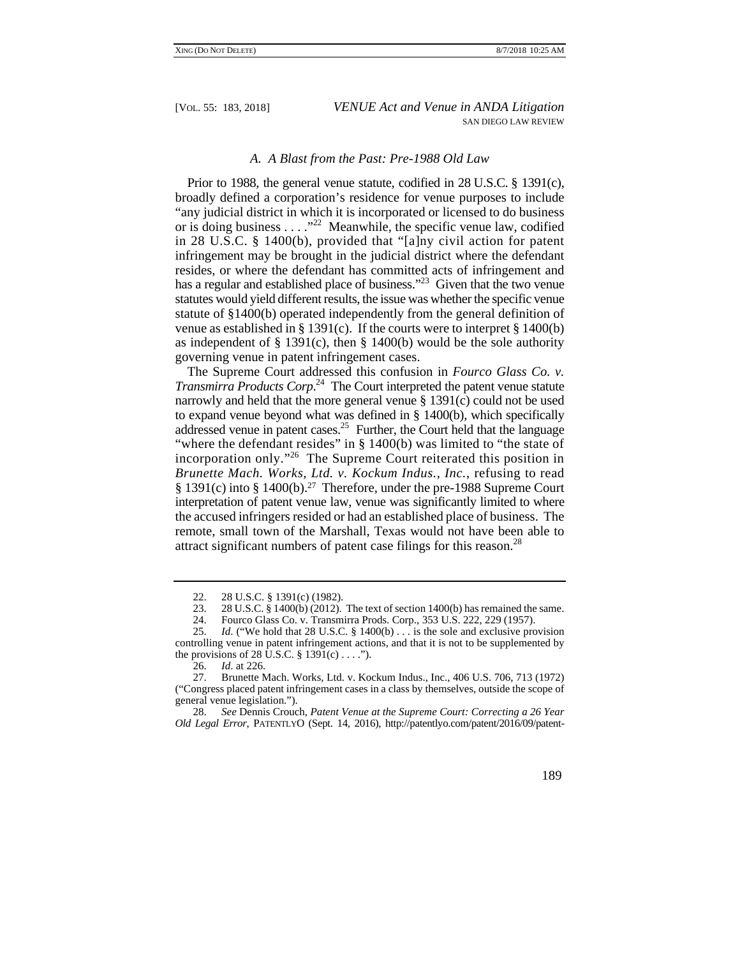# *A. A Blast from the Past: Pre-1988 Old Law*

 Prior to 1988, the general venue statute, codified in 28 U.S.C. § 1391(c), or is doing business  $\dots$ ."<sup>22</sup> Meanwhile, the specific venue law, codified broadly defined a corporation's residence for venue purposes to include "any judicial district in which it is incorporated or licensed to do business in 28 U.S.C. § 1400(b), provided that "[a]ny civil action for patent infringement may be brought in the judicial district where the defendant resides, or where the defendant has committed acts of infringement and has a regular and established place of business."<sup>23</sup> Given that the two venue statutes would yield different results, the issue was whether the specific venue statute of §1400(b) operated independently from the general definition of venue as established in § 1391(c). If the courts were to interpret § 1400(b) as independent of  $\S$  1391(c), then  $\S$  1400(b) would be the sole authority governing venue in patent infringement cases.

"where the defendant resides" in § 1400(b) was limited to "the state of § 1391(c) into § 1400(b).27 Therefore, under the pre-1988 Supreme Court The Supreme Court addressed this confusion in *Fourco Glass Co. v. Transmirra Products Corp*. 24 The Court interpreted the patent venue statute narrowly and held that the more general venue § 1391(c) could not be used to expand venue beyond what was defined in § 1400(b), which specifically addressed venue in patent cases.<sup>25</sup> Further, the Court held that the language incorporation only."26 The Supreme Court reiterated this position in *Brunette Mach. Works, Ltd. v. Kockum Indus., Inc.*, refusing to read interpretation of patent venue law, venue was significantly limited to where the accused infringers resided or had an established place of business. The remote, small town of the Marshall, Texas would not have been able to attract significant numbers of patent case filings for this reason.<sup>28</sup>

<sup>28.</sup> *See* Dennis Crouch, *Patent Venue at the Supreme Court: Correcting a 26 Year Old Legal Error*, PATENTLYO (Sept. 14, 2016), http://patentlyo.com/patent/2016/09/patent-



<sup>22. 28</sup> U.S.C. § 1391(c) (1982).

<sup>23. 28</sup> U.S.C. § 1400(b) (2012). The text of section 1400(b) has remained the same.

<sup>24.</sup> Fourco Glass Co. v. Transmirra Prods. Corp., 353 U.S. 222, 229 (1957).

 controlling venue in patent infringement actions, and that it is not to be supplemented by 25. *Id*. ("We hold that 28 U.S.C. § 1400(b) . . . is the sole and exclusive provision the provisions of 28  $\hat{U}$ .S.C. § 1391(c) . . . .").

<sup>26.</sup> *Id*. at 226.

<sup>27.</sup> Brunette Mach. Works, Ltd. v. Kockum Indus., Inc., 406 U.S. 706, 713 (1972) ("Congress placed patent infringement cases in a class by themselves, outside the scope of general venue legislation.").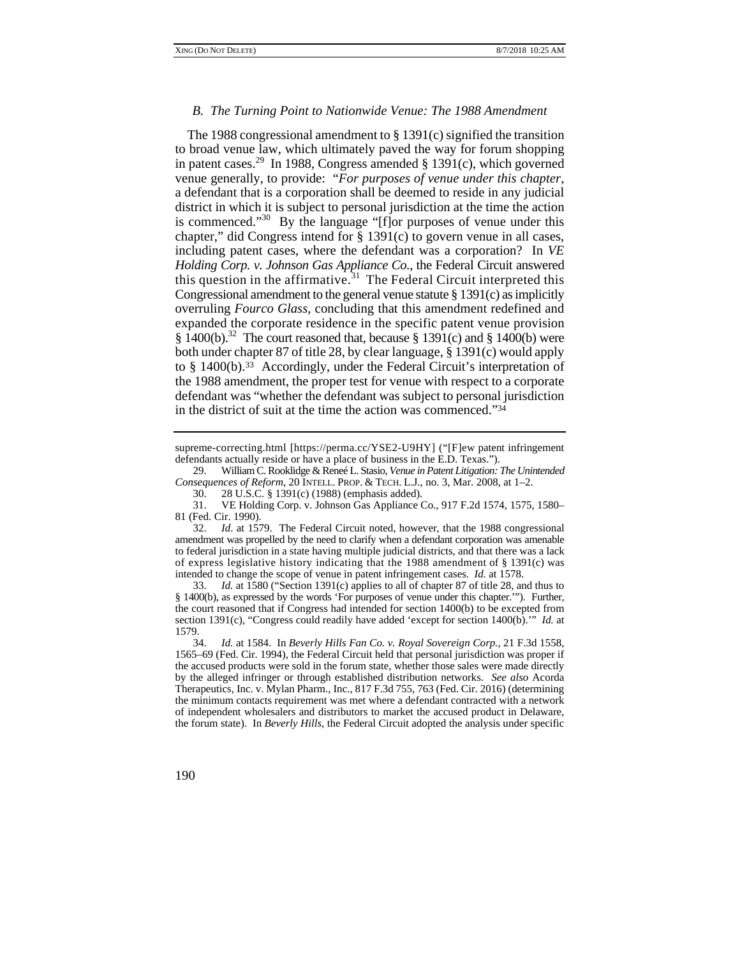#### *B. The Turning Point to Nationwide Venue: The 1988 Amendment*

 Congressional amendment to the general venue statute § 1391(c) as implicitly to § 1400(b).<sup>33</sup> Accordingly, under the Federal Circuit's interpretation of The 1988 congressional amendment to § 1391(c) signified the transition to broad venue law, which ultimately paved the way for forum shopping in patent cases.<sup>29</sup> In 1988, Congress amended  $\S$  1391(c), which governed venue generally, to provide: "*For purposes of venue under this chapter*, a defendant that is a corporation shall be deemed to reside in any judicial district in which it is subject to personal jurisdiction at the time the action is commenced." $30^\circ$  By the language "[f]or purposes of venue under this chapter," did Congress intend for  $\S$  1391(c) to govern venue in all cases. including patent cases, where the defendant was a corporation? In *VE Holding Corp. v. Johnson Gas Appliance Co.*, the Federal Circuit answered this question in the affirmative.<sup>31</sup> The Federal Circuit interpreted this overruling *Fourco Glass*, concluding that this amendment redefined and expanded the corporate residence in the specific patent venue provision  $§$  1400(b).<sup>32</sup> The court reasoned that, because  $§$  1391(c) and  $§$  1400(b) were both under chapter 87 of title 28, by clear language, § 1391(c) would apply the 1988 amendment, the proper test for venue with respect to a corporate defendant was "whether the defendant was subject to personal jurisdiction in the district of suit at the time the action was commenced."34

 *Consequences of Reform*, 20 INTELL. PROP. & TECH. L.J., no. 3, Mar. 2008, at 1–2. 29. William C. Rooklidge & Reneé L. Stasio, *Venue in Patent Litigation: The Unintended* 

 of express legislative history indicating that the 1988 amendment of § 1391(c) was 32. *Id*. at 1579. The Federal Circuit noted, however, that the 1988 congressional amendment was propelled by the need to clarify when a defendant corporation was amenable to federal jurisdiction in a state having multiple judicial districts, and that there was a lack intended to change the scope of venue in patent infringement cases. *Id.* at 1578.

 § 1400(b), as expressed by the words 'For purposes of venue under this chapter.'"). Further, 33. *Id.* at 1580 ("Section 1391(c) applies to all of chapter 87 of title 28, and thus to the court reasoned that if Congress had intended for section 1400(b) to be excepted from section 1391(c), "Congress could readily have added 'except for section 1400(b).'" *Id.* at 1579.

 34. *Id.* at 1584. In *Beverly Hills Fan Co. v. Royal Sovereign Corp.*, 21 F.3d 1558, 1565–69 (Fed. Cir. 1994), the Federal Circuit held that personal jurisdiction was proper if the accused products were sold in the forum state, whether those sales were made directly by the alleged infringer or through established distribution networks. *See also* Acorda Therapeutics, Inc. v. Mylan Pharm., Inc., 817 F.3d 755, 763 (Fed. Cir. 2016) (determining the minimum contacts requirement was met where a defendant contracted with a network of independent wholesalers and distributors to market the accused product in Delaware, the forum state). In *Beverly Hills*, the Federal Circuit adopted the analysis under specific

 supreme-correcting.html [https://perma.cc/YSE2-U9HY] ("[F]ew patent infringement defendants actually reside or have a place of business in the E.D. Texas.").

<sup>30. 28</sup> U.S.C. § 1391(c) (1988) (emphasis added).

<sup>31.</sup> VE Holding Corp. v. Johnson Gas Appliance Co., 917 F.2d 1574, 1575, 1580– 81 (Fed. Cir. 1990).

<sup>190</sup>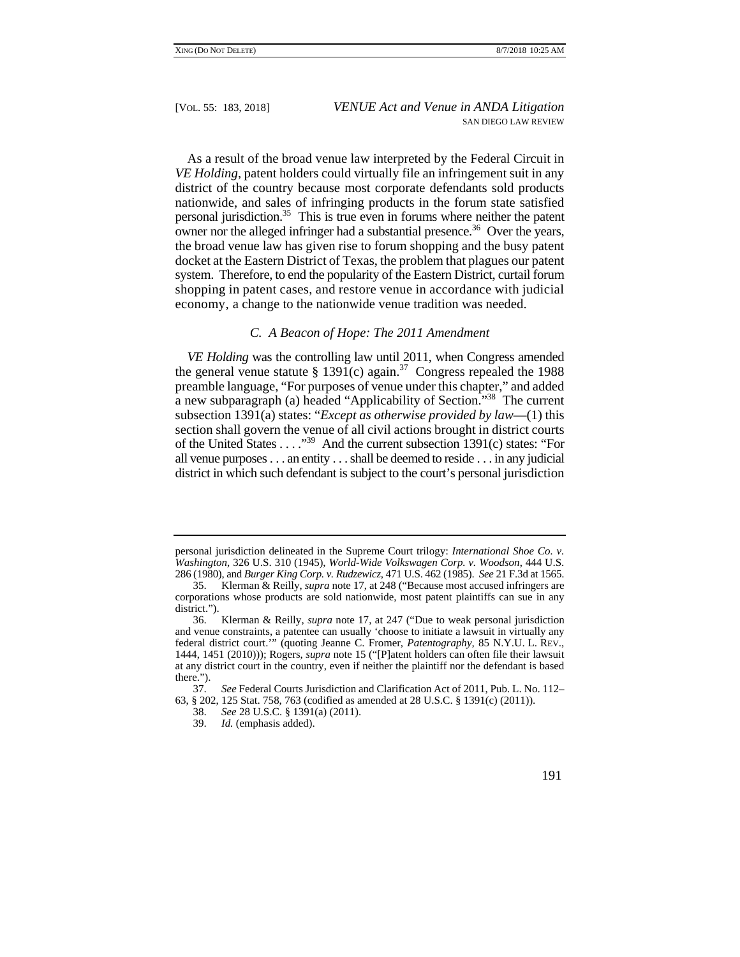system. Therefore, to end the popularity of the Eastern District, curtail forum As a result of the broad venue law interpreted by the Federal Circuit in *VE Holding*, patent holders could virtually file an infringement suit in any district of the country because most corporate defendants sold products nationwide, and sales of infringing products in the forum state satisfied personal jurisdiction.35 This is true even in forums where neither the patent owner nor the alleged infringer had a substantial presence.<sup>36</sup> Over the years, the broad venue law has given rise to forum shopping and the busy patent docket at the Eastern District of Texas, the problem that plagues our patent shopping in patent cases, and restore venue in accordance with judicial economy, a change to the nationwide venue tradition was needed.

# *C. A Beacon of Hope: The 2011 Amendment*

of the United States . . . . "<sup>39</sup> And the current subsection 1391(c) states: "For *VE Holding* was the controlling law until 2011, when Congress amended the general venue statute § 1391(c) again.<sup>37</sup> Congress repealed the 1988 preamble language, "For purposes of venue under this chapter," and added a new subparagraph (a) headed "Applicability of Section."<sup>38</sup> The current subsection 1391(a) states: "*Except as otherwise provided by law*—(1) this section shall govern the venue of all civil actions brought in district courts all venue purposes . . . an entity . . . shall be deemed to reside . . . in any judicial district in which such defendant is subject to the court's personal jurisdiction

personal jurisdiction delineated in the Supreme Court trilogy: *International Shoe Co. v. Washington*, 326 U.S. 310 (1945), *World-Wide Volkswagen Corp. v. Woodson*, 444 U.S. 286 (1980), and *Burger King Corp. v. Rudzewicz*, 471 U.S. 462 (1985). *See* 21 F.3d at 1565.

 <sup>35.</sup> Klerman & Reilly, *supra* note 17, at 248 ("Because most accused infringers are corporations whose products are sold nationwide, most patent plaintiffs can sue in any district.").

 federal district court.'" (quoting Jeanne C. Fromer, *Patentography,* 85 N.Y.U. L. REV., 36. Klerman & Reilly, *supra* note 17, at 247 ("Due to weak personal jurisdiction and venue constraints, a patentee can usually 'choose to initiate a lawsuit in virtually any 1444, 1451 (2010))); Rogers, *supra* note 15 ("[P]atent holders can often file their lawsuit at any district court in the country, even if neither the plaintiff nor the defendant is based there.").<br> $\frac{37}{0}$ .

<sup>37.</sup> *See* Federal Courts Jurisdiction and Clarification Act of 2011, Pub. L. No. 112– 63, § 202, 125 Stat. 758, 763 (codified as amended at 28 U.S.C. § 1391(c) (2011)).

<sup>38.</sup> *See* 28 U.S.C. § 1391(a) (2011).

Id. (emphasis added).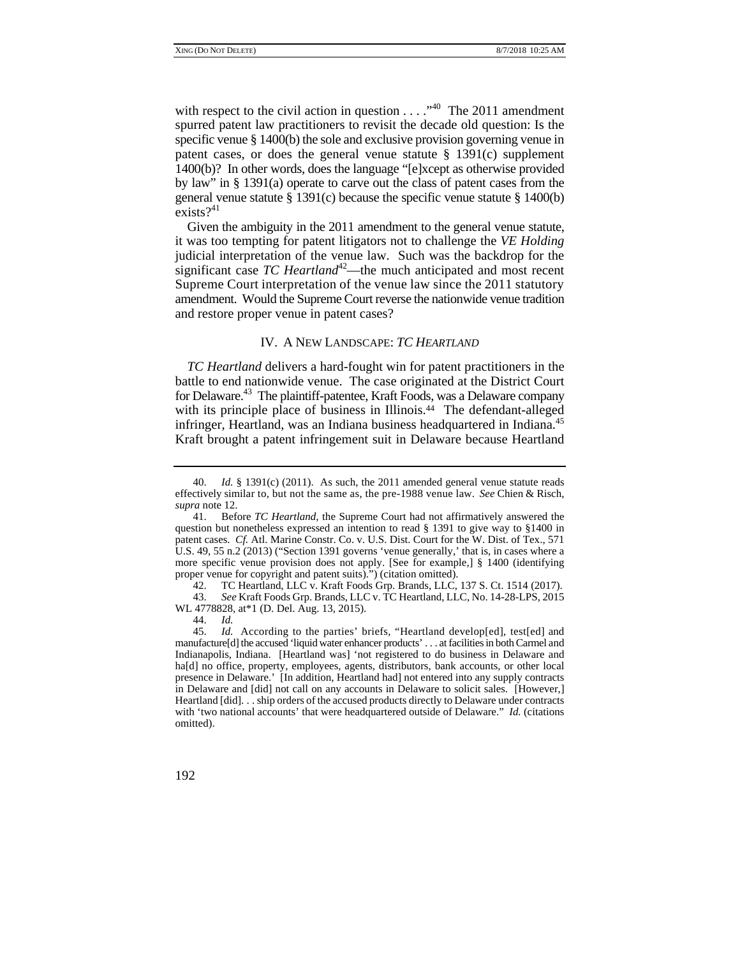specific venue § 1400(b) the sole and exclusive provision governing venue in 1400(b)? In other words, does the language "[e]xcept as otherwise provided with respect to the civil action in question . . . ."40 The 2011 amendment spurred patent law practitioners to revisit the decade old question: Is the patent cases, or does the general venue statute  $\S$  1391(c) supplement by law" in § 1391(a) operate to carve out the class of patent cases from the general venue statute  $\S$  1391(c) because the specific venue statute  $\S$  1400(b) exists? $41$ 

Given the ambiguity in the 2011 amendment to the general venue statute, it was too tempting for patent litigators not to challenge the *VE Holding*  judicial interpretation of the venue law. Such was the backdrop for the significant case  $TC$  *Heartland*<sup>42</sup>—the much anticipated and most recent Supreme Court interpretation of the venue law since the 2011 statutory amendment. Would the Supreme Court reverse the nationwide venue tradition and restore proper venue in patent cases?

# IV. A NEW LANDSCAPE: *TC HEARTLAND*

for Delaware.<sup>43</sup> The plaintiff-patentee, Kraft Foods, was a Delaware company infringer, Heartland, was an Indiana business headquartered in Indiana.<sup>45</sup> *TC Heartland* delivers a hard-fought win for patent practitioners in the battle to end nationwide venue. The case originated at the District Court with its principle place of business in Illinois.<sup>44</sup> The defendant-alleged Kraft brought a patent infringement suit in Delaware because Heartland

44. *Id.*

 effectively similar to, but not the same as, the pre-1988 venue law. *See* Chien & Risch, 40. *Id.* § 1391(c) (2011). As such, the 2011 amended general venue statute reads *supra* note 12.

patent cases. *Cf.* Atl. Marine Constr. Co. v. U.S. Dist. Court for the W. Dist. of Tex., 571 more specific venue provision does not apply. [See for example,] § 1400 (identifying 41. Before *TC Heartland*, the Supreme Court had not affirmatively answered the question but nonetheless expressed an intention to read  $\S$  1391 to give way to  $\S$ 1400 in U.S. 49, 55 n.2 (2013) ("Section 1391 governs 'venue generally,' that is, in cases where a proper venue for copyright and patent suits).") (citation omitted).

<sup>42.</sup> TC Heartland, LLC v. Kraft Foods Grp. Brands, LLC, 137 S. Ct. 1514 (2017).

<sup>43.</sup> *See* Kraft Foods Grp. Brands, LLC v. TC Heartland, LLC, No. 14-28-LPS, 2015 WL 4778828, at\*1 (D. Del. Aug. 13, 2015).

 45. *Id.* According to the parties' briefs, "Heartland develop[ed], test[ed] and manufacture[d] the accused 'liquid water enhancer products' . . . at facilities in both Carmel and Indianapolis, Indiana. [Heartland was] 'not registered to do business in Delaware and ha[d] no office, property, employees, agents, distributors, bank accounts, or other local presence in Delaware.' [In addition, Heartland had] not entered into any supply contracts in Delaware and [did] not call on any accounts in Delaware to solicit sales. [However,] Heartland [did]. . . ship orders of the accused products directly to Delaware under contracts with 'two national accounts' that were headquartered outside of Delaware." *Id.* (citations omitted).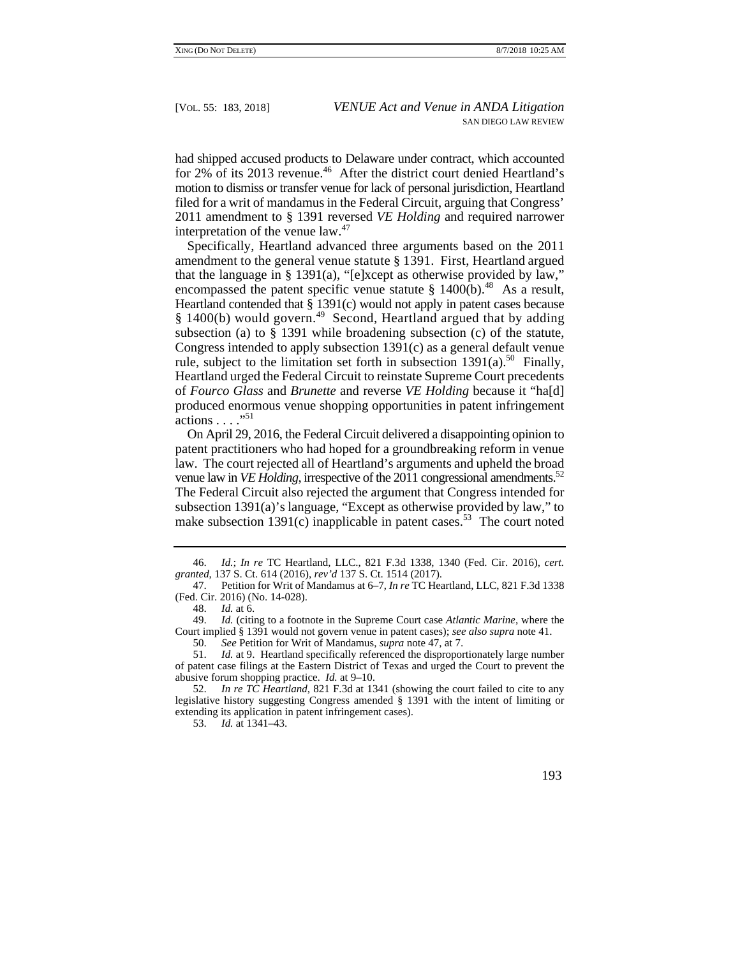had shipped accused products to Delaware under contract, which accounted for 2% of its 2013 revenue.<sup>46</sup> After the district court denied Heartland's motion to dismiss or transfer venue for lack of personal jurisdiction, Heartland filed for a writ of mandamus in the Federal Circuit, arguing that Congress' 2011 amendment to § 1391 reversed *VE Holding* and required narrower interpretation of the venue  $law<sup>47</sup>$ .

 amendment to the general venue statute § 1391. First, Heartland argued Heartland contended that § 1391(c) would not apply in patent cases because Specifically, Heartland advanced three arguments based on the 2011 that the language in § 1391(a), "[e]xcept as otherwise provided by law," encompassed the patent specific venue statute  $§$  1400(b).<sup>48</sup> As a result,  $§$  1400(b) would govern.<sup>49</sup> Second, Heartland argued that by adding subsection (a) to § 1391 while broadening subsection (c) of the statute, Congress intended to apply subsection 1391(c) as a general default venue rule, subject to the limitation set forth in subsection  $1391(a)$ .<sup>50</sup> Finally, Heartland urged the Federal Circuit to reinstate Supreme Court precedents of *Fourco Glass* and *Brunette* and reverse *VE Holding* because it "ha[d] produced enormous venue shopping opportunities in patent infringement actions . . . ."51

venue law in *VE Holding*, irrespective of the 2011 congressional amendments.<sup>52</sup> On April 29, 2016, the Federal Circuit delivered a disappointing opinion to patent practitioners who had hoped for a groundbreaking reform in venue law. The court rejected all of Heartland's arguments and upheld the broad The Federal Circuit also rejected the argument that Congress intended for subsection 1391(a)'s language, "Except as otherwise provided by law," to make subsection  $1391(c)$  inapplicable in patent cases.<sup>53</sup> The court noted

53. *Id.* at 1341–43.

 <sup>46.</sup> *Id.*; *In re* TC Heartland, LLC., 821 F.3d 1338, 1340 (Fed. Cir. 2016), *cert. granted*, 137 S. Ct. 614 (2016), *rev'd* 137 S. Ct. 1514 (2017).

<sup>47.</sup> Petition for Writ of Mandamus at 6–7, *In re* TC Heartland, LLC, 821 F.3d 1338 (Fed. Cir. 2016) (No. 14-028).

<sup>48.</sup> *Id.* at 6.

<sup>49.</sup> *Id.* (citing to a footnote in the Supreme Court case *Atlantic Marine*, where the Court implied § 1391 would not govern venue in patent cases); *see also supra* note 41.

<sup>50.</sup> *See* Petition for Writ of Mandamus, *supra* note 47, at 7.

Id. at 9. Heartland specifically referenced the disproportionately large number of patent case filings at the Eastern District of Texas and urged the Court to prevent the abusive forum shopping practice. *Id.* at 9–10.

<sup>52.</sup> *In re TC Heartland*, 821 F.3d at 1341 (showing the court failed to cite to any legislative history suggesting Congress amended § 1391 with the intent of limiting or extending its application in patent infringement cases).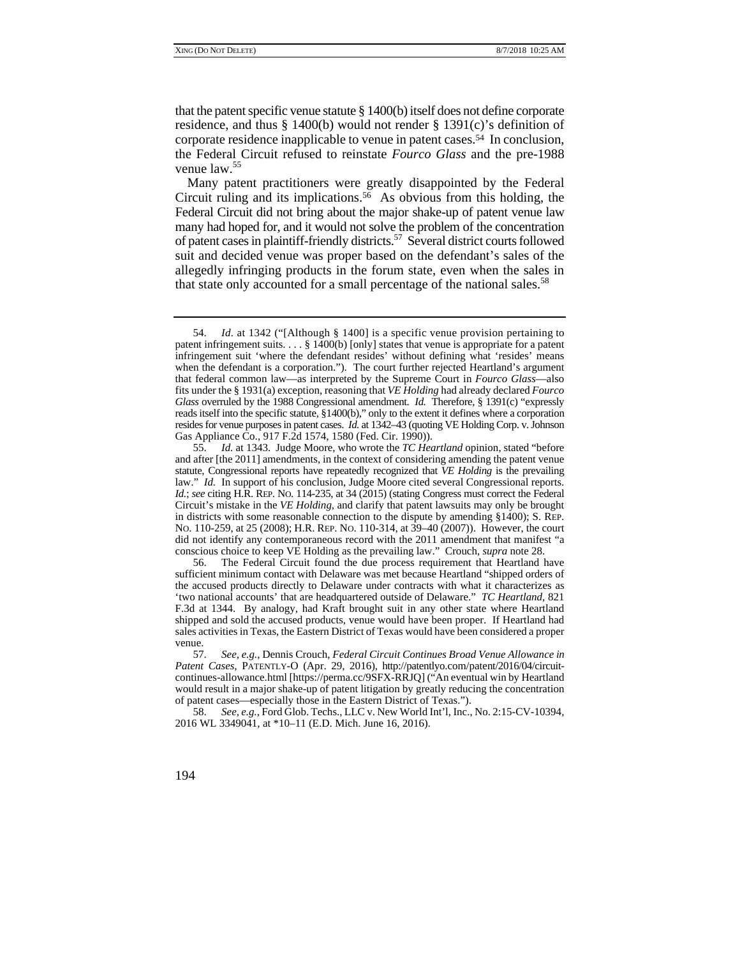that the patent specific venue statute  $\S 1400(b)$  itself does not define corporate residence, and thus § 1400(b) would not render § 1391(c)'s definition of corporate residence inapplicable to venue in patent cases.54 In conclusion, the Federal Circuit refused to reinstate *Fourco Glass* and the pre-1988 venue law.<sup>55</sup>

 many had hoped for, and it would not solve the problem of the concentration of patent cases in plaintiff-friendly districts.<sup>57</sup> Several district courts followed Many patent practitioners were greatly disappointed by the Federal Circuit ruling and its implications.<sup>56</sup> As obvious from this holding, the Federal Circuit did not bring about the major shake-up of patent venue law suit and decided venue was proper based on the defendant's sales of the allegedly infringing products in the forum state, even when the sales in that state only accounted for a small percentage of the national sales.<sup>58</sup>

 54. *Id.* at 1342 ("[Although § 1400] is a specific venue provision pertaining to *Glass* overruled by the 1988 Congressional amendment. *Id.* Therefore, § 1391(c) "expressly patent infringement suits.  $\ldots$  § 1400(b) [only] states that venue is appropriate for a patent infringement suit 'where the defendant resides' without defining what 'resides' means when the defendant is a corporation."). The court further rejected Heartland's argument that federal common law—as interpreted by the Supreme Court in *Fourco Glass*—also fits under the § 1931(a) exception, reasoning that *VE Holding* had already declared *Fourco*  reads itself into the specific statute, §1400(b)," only to the extent it defines where a corporation resides for venue purposes in patent cases. *Id.* at 1342–43 (quoting VE Holding Corp. v. Johnson Gas Appliance Co., 917 F.2d 1574, 1580 (Fed. Cir. 1990)).

law." *Id.* In support of his conclusion, Judge Moore cited several Congressional reports. *Id.*; *see* citing H.R. REP. NO. 114-235, at 34 (2015) (stating Congress must correct the Federal Circuit's mistake in the *VE Holding*, and clarify that patent lawsuits may only be brought 55. *Id.* at 1343. Judge Moore, who wrote the *TC Heartland* opinion, stated "before and after [the 2011] amendments, in the context of considering amending the patent venue statute, Congressional reports have repeatedly recognized that *VE Holding* is the prevailing in districts with some reasonable connection to the dispute by amending §1400); S. REP. NO. 110-259, at 25 (2008); H.R. REP. NO. 110-314, at 39–40 (2007)). However, the court did not identify any contemporaneous record with the 2011 amendment that manifest "a conscious choice to keep VE Holding as the prevailing law." Crouch, *supra* note 28.

 the accused products directly to Delaware under contracts with what it characterizes as 56. The Federal Circuit found the due process requirement that Heartland have sufficient minimum contact with Delaware was met because Heartland "shipped orders of 'two national accounts' that are headquartered outside of Delaware." *TC Heartland*, 821 F.3d at 1344. By analogy, had Kraft brought suit in any other state where Heartland shipped and sold the accused products, venue would have been proper. If Heartland had sales activities in Texas, the Eastern District of Texas would have been considered a proper venue.

<sup>57.</sup> *See, e.g.*, Dennis Crouch, *Federal Circuit Continues Broad Venue Allowance in*  Patent Cases, PATENTLY-O (Apr. 29, 2016), http://patentlyo.com/patent/2016/04/circuitcontinues-allowance.html [https://perma.cc/9SFX-RRJQ] ("An eventual win by Heartland would result in a major shake-up of patent litigation by greatly reducing the concentration of patent cases—especially those in the Eastern District of Texas.").

<sup>58.</sup> *See, e.g.*, Ford Glob. Techs., LLC v. New World Int'l, Inc., No. 2:15-CV-10394, 2016 WL 3349041, at \*10–11 (E.D. Mich. June 16, 2016).

<sup>194</sup>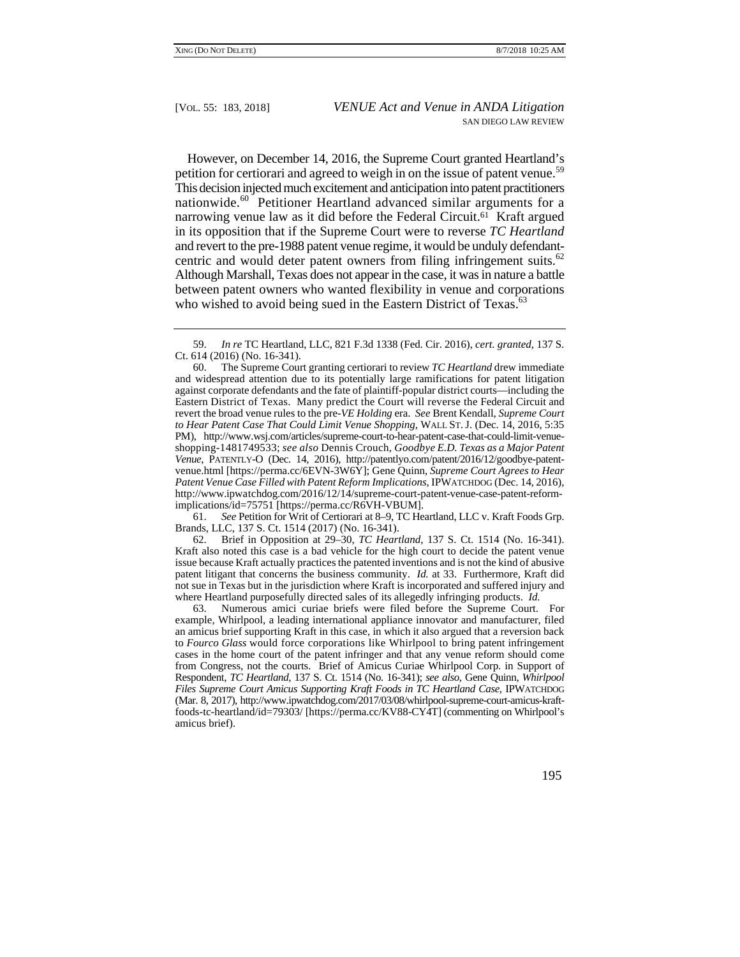petition for certiorari and agreed to weigh in on the issue of patent venue.<sup>59</sup> nationwide.<sup>60</sup> Petitioner Heartland advanced similar arguments for a and revert to the pre-1988 patent venue regime, it would be unduly defendantcentric and would deter patent owners from filing infringement suits.<sup>62</sup> However, on December 14, 2016, the Supreme Court granted Heartland's This decision injected much excitement and anticipation into patent practitioners narrowing venue law as it did before the Federal Circuit.<sup>61</sup> Kraft argued in its opposition that if the Supreme Court were to reverse *TC Heartland*  Although Marshall, Texas does not appear in the case, it was in nature a battle between patent owners who wanted flexibility in venue and corporations who wished to avoid being sued in the Eastern District of Texas.<sup>63</sup>

61. *See* Petition for Writ of Certiorari at 8–9, TC Heartland, LLC v. Kraft Foods Grp. Brands, LLC, 137 S. Ct. 1514 (2017) (No. 16-341).

 Kraft also noted this case is a bad vehicle for the high court to decide the patent venue patent litigant that concerns the business community. *Id.* at 33. Furthermore, Kraft did 62. Brief in Opposition at 29–30, *TC Heartland*, 137 S. Ct. 1514 (No. 16-341). issue because Kraft actually practices the patented inventions and is not the kind of abusive not sue in Texas but in the jurisdiction where Kraft is incorporated and suffered injury and where Heartland purposefully directed sales of its allegedly infringing products. *Id.* 

63. Numerous amici curiae briefs were filed before the Supreme Court. For example, Whirlpool, a leading international appliance innovator and manufacturer, filed an amicus brief supporting Kraft in this case, in which it also argued that a reversion back to *Fourco Glass* would force corporations like Whirlpool to bring patent infringement cases in the home court of the patent infringer and that any venue reform should come from Congress, not the courts. Brief of Amicus Curiae Whirlpool Corp. in Support of Respondent, *TC Heartland*, 137 S. Ct. 1514 (No. 16-341); *see also*, Gene Quinn, *Whirlpool Files Supreme Court Amicus Supporting Kraft Foods in TC Heartland Case*, IPWATCHDOG (Mar. 8, 2017), http://www.ipwatchdog.com/2017/03/08/whirlpool-supreme-court-amicus-kraftfoods-tc-heartland/id=79303/ [https://perma.cc/KV88-CY4T] (commenting on Whirlpool's amicus brief).

 <sup>59.</sup> *In re* TC Heartland, LLC, 821 F.3d 1338 (Fed. Cir. 2016), *cert. granted*, 137 S. Ct. 614 (2016) (No. 16-341).

 against corporate defendants and the fate of plaintiff-popular district courts—including the Eastern District of Texas. Many predict the Court will reverse the Federal Circuit and revert the broad venue rules to the pre-*VE Holding* era. *See* Brent Kendall, *Supreme Court*  shopping-1481749533; *see also* Dennis Crouch, *Goodbye E.D. Texas as a Major Patent*  60. The Supreme Court granting certiorari to review *TC Heartland* drew immediate and widespread attention due to its potentially large ramifications for patent litigation *to Hear Patent Case That Could Limit Venue Shopping*, WALL ST. J. (Dec. 14, 2016, 5:35 PM), http://www.wsj.com/articles/supreme-court-to-hear-patent-case-that-could-limit-venue-*Venue*, PATENTLY-O (Dec. 14, 2016), http://patentlyo.com/patent/2016/12/goodbye-patentvenue.html [https://perma.cc/6EVN-3W6Y]; Gene Quinn, *Supreme Court Agrees to Hear Patent Venue Case Filled with Patent Reform Implications*, IPWATCHDOG (Dec. 14, 2016), http://www.ipwatchdog.com/2016/12/14/supreme-court-patent-venue-case-patent-reformimplications/id=75751 [https://perma.cc/R6VH-VBUM].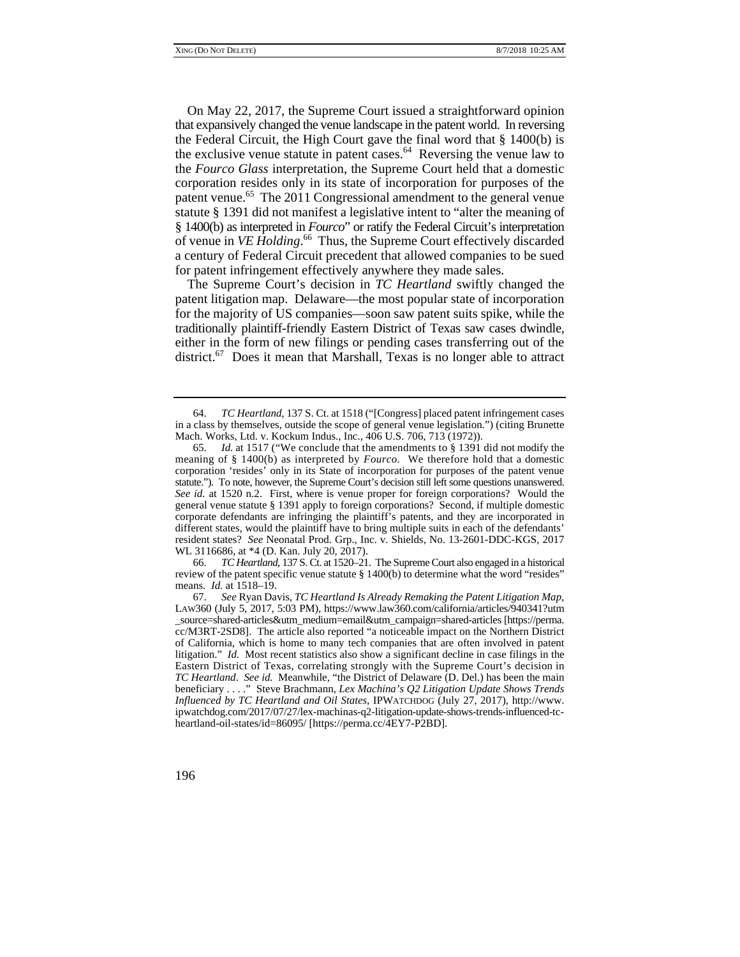On May 22, 2017, the Supreme Court issued a straightforward opinion that expansively changed the venue landscape in the patent world. In reversing the Federal Circuit, the High Court gave the final word that § 1400(b) is the exclusive venue statute in patent cases. $64$  Reversing the venue law to the *Fourco Glass* interpretation, the Supreme Court held that a domestic corporation resides only in its state of incorporation for purposes of the patent venue.<sup>65</sup> The 2011 Congressional amendment to the general venue statute § 1391 did not manifest a legislative intent to "alter the meaning of § 1400(b) as interpreted in *Fourco*" or ratify the Federal Circuit's interpretation of venue in *VE Holding*. 66 Thus, the Supreme Court effectively discarded a century of Federal Circuit precedent that allowed companies to be sued for patent infringement effectively anywhere they made sales.

The Supreme Court's decision in *TC Heartland* swiftly changed the patent litigation map. Delaware—the most popular state of incorporation for the majority of US companies—soon saw patent suits spike, while the traditionally plaintiff-friendly Eastern District of Texas saw cases dwindle, either in the form of new filings or pending cases transferring out of the district.<sup>67</sup> Does it mean that Marshall, Texas is no longer able to attract

 means. *Id.* at 1518–19. 66. *TC Heartland*, 137 S. Ct. at 1520–21. The Supreme Court also engaged in a historical review of the patent specific venue statute § 1400(b) to determine what the word "resides"

 <sup>64.</sup> *TC Heartland*, 137 S. Ct. at 1518 ("[Congress] placed patent infringement cases in a class by themselves, outside the scope of general venue legislation.") (citing Brunette Mach. Works, Ltd. v. Kockum Indus., Inc., 406 U.S. 706, 713 (1972)).

 65. *Id.* at 1517 ("We conclude that the amendments to § 1391 did not modify the meaning of § 1400(b) as interpreted by *Fourco*. We therefore hold that a domestic *See id.* at 1520 n.2. First, where is venue proper for foreign corporations? Would the resident states? *See* Neonatal Prod. Grp., Inc. v. Shields, No. 13-2601-DDC-KGS, 2017 corporation 'resides' only in its State of incorporation for purposes of the patent venue statute."). To note, however, the Supreme Court's decision still left some questions unanswered. general venue statute § 1391 apply to foreign corporations? Second, if multiple domestic corporate defendants are infringing the plaintiff's patents, and they are incorporated in different states, would the plaintiff have to bring multiple suits in each of the defendants' WL 3116686, at \*4 (D. Kan. July 20, 2017).

 cc/M3RT-2SD8]. The article also reported "a noticeable impact on the Northern District of California, which is home to many tech companies that are often involved in patent litigation." *Id.* Most recent statistics also show a significant decline in case filings in the Eastern District of Texas, correlating strongly with the Supreme Court's decision in beneficiary . . . ." Steve Brachmann, *Lex Machina's Q2 Litigation Update Shows Trends* 67. *See* Ryan Davis, *TC Heartland Is Already Remaking the Patent Litigation Map*, LAW360 (July 5, 2017, 5:03 PM), https://www.law360.com/california/articles/940341?utm \_source=shared-articles&utm\_medium=email&utm\_campaign=shared-articles [https://perma. *TC Heartland*. *See id.* Meanwhile, "the District of Delaware (D. Del.) has been the main *Influenced by TC Heartland and Oil States*, IPWATCHDOG (July 27, 2017), http://www. ipwatchdog.com/2017/07/27/lex-machinas-q2-litigation-update-shows-trends-influenced-tcheartland-oil-states/id=86095/ [https://perma.cc/4EY7-P2BD].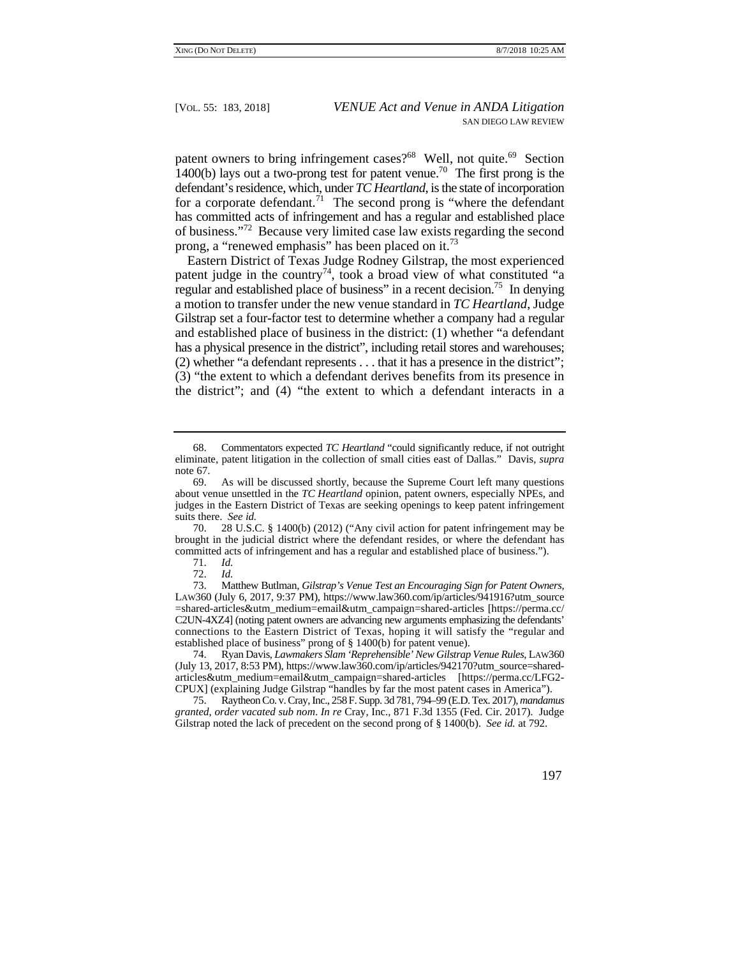$\overline{a}$  has committed acts of infringement and has a regular and established place patent owners to bring infringement cases?<sup>68</sup> Well, not quite.<sup>69</sup> Section 1400(b) lays out a two-prong test for patent venue.<sup>70</sup> The first prong is the defendant's residence, which, under *TC Heartland*, is the state of incorporation for a corporate defendant.<sup>71</sup> The second prong is "where the defendant" of business."72 Because very limited case law exists regarding the second prong, a "renewed emphasis" has been placed on it.<sup>73</sup>

 (2) whether "a defendant represents . . . that it has a presence in the district"; Eastern District of Texas Judge Rodney Gilstrap, the most experienced patent judge in the country<sup>74</sup>, took a broad view of what constituted "a regular and established place of business" in a recent decision.<sup>75</sup> In denying a motion to transfer under the new venue standard in *TC Heartland*, Judge Gilstrap set a four-factor test to determine whether a company had a regular and established place of business in the district: (1) whether "a defendant has a physical presence in the district", including retail stores and warehouses; (3) "the extent to which a defendant derives benefits from its presence in the district"; and (4) "the extent to which a defendant interacts in a

70. 28 U.S.C. § 1400(b) (2012) ("Any civil action for patent infringement may be brought in the judicial district where the defendant resides, or where the defendant has committed acts of infringement and has a regular and established place of business.").

 73. Matthew Butlman, *Gilstrap's Venue Test an Encouraging Sign for Patent Owners*, connections to the Eastern District of Texas, hoping it will satisfy the "regular and LAW360 (July 6, 2017, 9:37 PM), https://www.law360.com/ip/articles/941916?utm\_source =shared-articles&utm\_medium=email&utm\_campaign=shared-articles [https://perma.cc/ C2UN-4XZ4] (noting patent owners are advancing new arguments emphasizing the defendants' established place of business" prong of § 1400(b) for patent venue).

 74. Ryan Davis, *Lawmakers Slam 'Reprehensible' New Gilstrap Venue Rules*, LAW360 (July 13, 2017, 8:53 PM), https://www.law360.com/ip/articles/942170?utm\_source=sharedarticles&utm\_medium=email&utm\_campaign=shared-articles [https://perma.cc/LFG2 CPUX] (explaining Judge Gilstrap "handles by far the most patent cases in America").

75. Raytheon Co. v. Cray, Inc., 258 F. Supp. 3d 781, 794–99 (E.D. Tex. 2017), *mandamus granted*, *order vacated sub nom*. *In re* Cray, Inc., 871 F.3d 1355 (Fed. Cir. 2017). Judge Gilstrap noted the lack of precedent on the second prong of § 1400(b). *See id.* at 792.

<sup>68</sup>  eliminate, patent litigation in the collection of small cities east of Dallas." Davis, *supra* Commentators expected *TC Heartland* "could significantly reduce, if not outright note 67.

 suits there. *See id.*  69. As will be discussed shortly, because the Supreme Court left many questions about venue unsettled in the *TC Heartland* opinion, patent owners, especially NPEs, and judges in the Eastern District of Texas are seeking openings to keep patent infringement

<sup>71.</sup> *Id.*

 <sup>72.</sup> *Id.*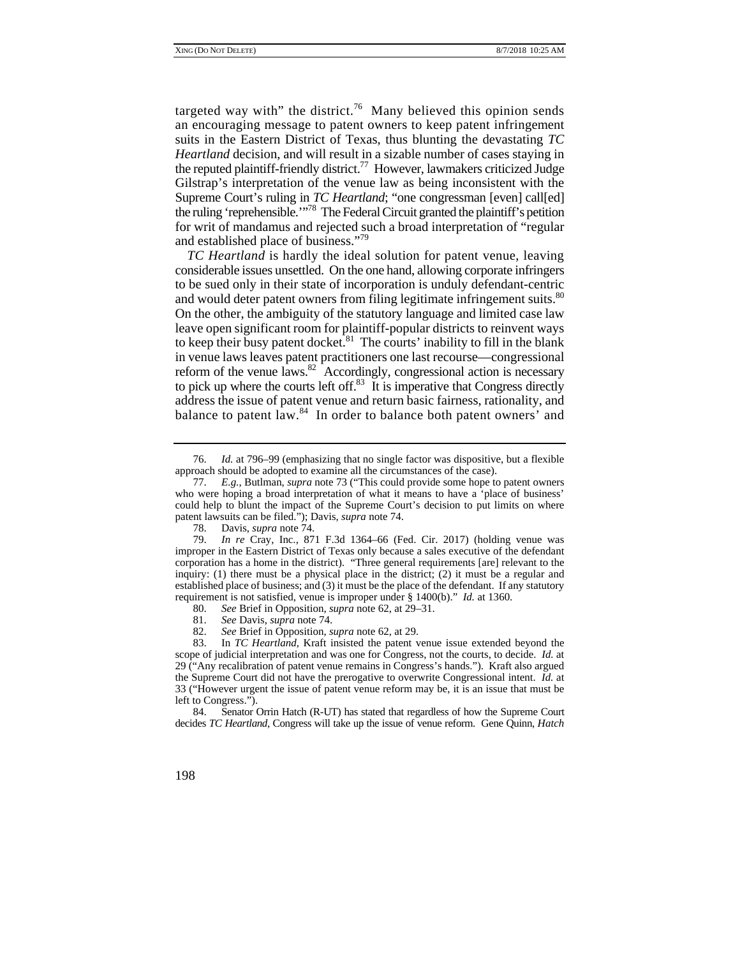the reputed plaintiff-friendly district.<sup>77</sup> However, lawmakers criticized Judge targeted way with" the district.<sup>76</sup> Many believed this opinion sends an encouraging message to patent owners to keep patent infringement suits in the Eastern District of Texas, thus blunting the devastating *TC Heartland* decision, and will result in a sizable number of cases staying in Gilstrap's interpretation of the venue law as being inconsistent with the Supreme Court's ruling in *TC Heartland*; "one congressman [even] call[ed] the ruling 'reprehensible.'"78 The Federal Circuit granted the plaintiff's petition for writ of mandamus and rejected such a broad interpretation of "regular and established place of business."79

and would deter patent owners from filing legitimate infringement suits.<sup>80</sup> Ì *TC Heartland* is hardly the ideal solution for patent venue, leaving considerable issues unsettled. On the one hand, allowing corporate infringers to be sued only in their state of incorporation is unduly defendant-centric On the other, the ambiguity of the statutory language and limited case law leave open significant room for plaintiff-popular districts to reinvent ways to keep their busy patent docket. $81$  The courts' inability to fill in the blank in venue laws leaves patent practitioners one last recourse—congressional reform of the venue laws.<sup>82</sup> Accordingly, congressional action is necessary to pick up where the courts left off. $83$  It is imperative that Congress directly address the issue of patent venue and return basic fairness, rationality, and balance to patent law.<sup>84</sup> In order to balance both patent owners' and

- 81. *See* Davis, *supra* note 74.
- 82. *See* Brief in Opposition, *supra* note 62, at 29.

83. In *TC Heartland*, Kraft insisted the patent venue issue extended beyond the scope of judicial interpretation and was one for Congress, not the courts, to decide. *Id.* at 29 ("Any recalibration of patent venue remains in Congress's hands."). Kraft also argued the Supreme Court did not have the prerogative to overwrite Congressional intent. *Id.* at 33 ("However urgent the issue of patent venue reform may be, it is an issue that must be left to Congress.").

84. Senator Orrin Hatch (R-UT) has stated that regardless of how the Supreme Court decides *TC Heartland*, Congress will take up the issue of venue reform. Gene Quinn, *Hatch* 

 <sup>76.</sup> *Id.* at 796–99 (emphasizing that no single factor was dispositive, but a flexible approach should be adopted to examine all the circumstances of the case).

<sup>77.</sup> *E.g.*, Butlman, *supra* note 73 ("This could provide some hope to patent owners who were hoping a broad interpretation of what it means to have a 'place of business' could help to blunt the impact of the Supreme Court's decision to put limits on where patent lawsuits can be filed."); Davis, *supra* note 74.

<sup>78.</sup> Davis, *supra* note 74.

 corporation has a home in the district). "Three general requirements [are] relevant to the 79. *In re* Cray, Inc., 871 F.3d 1364–66 (Fed. Cir. 2017) (holding venue was improper in the Eastern District of Texas only because a sales executive of the defendant inquiry: (1) there must be a physical place in the district; (2) it must be a regular and established place of business; and (3) it must be the place of the defendant. If any statutory requirement is not satisfied, venue is improper under § 1400(b)." *Id.* at 1360.

<sup>80.</sup> *See* Brief in Opposition, *supra* note 62, at 29–31.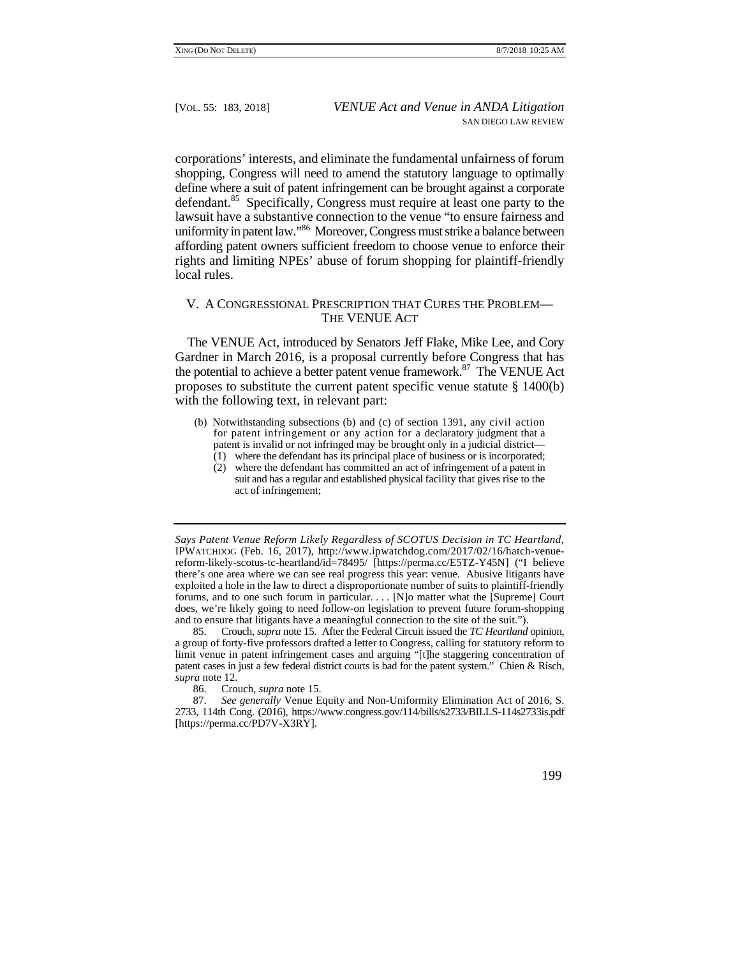define where a suit of patent infringement can be brought against a corporate corporations' interests, and eliminate the fundamental unfairness of forum shopping, Congress will need to amend the statutory language to optimally defendant.<sup>85</sup> Specifically, Congress must require at least one party to the lawsuit have a substantive connection to the venue "to ensure fairness and uniformity in patent law."86 Moreover, Congress must strike a balance between affording patent owners sufficient freedom to choose venue to enforce their rights and limiting NPEs' abuse of forum shopping for plaintiff-friendly local rules.

# V. A CONGRESSIONAL PRESCRIPTION THAT CURES THE PROBLEM— THE VENUE ACT

 The VENUE Act, introduced by Senators Jeff Flake, Mike Lee, and Cory Gardner in March 2016, is a proposal currently before Congress that has the potential to achieve a better patent venue framework.<sup>87</sup> The VENUE Act proposes to substitute the current patent specific venue statute § 1400(b) with the following text, in relevant part:

- (b) Notwithstanding subsections (b) and (c) of section 1391, any civil action for patent infringement or any action for a declaratory judgment that a patent is invalid or not infringed may be brought only in a judicial district—
	- $(1)$  where the defendant has its principal place of business or is incorporated;
	- (2) where the defendant has committed an act of infringement of a patent in suit and has a regular and established physical facility that gives rise to the act of infringement;

 85. Crouch, *supra* note 15. After the Federal Circuit issued the *TC Heartland* opinion, patent cases in just a few federal district courts is bad for the patent system." Chien & Risch, a group of forty-five professors drafted a letter to Congress, calling for statutory reform to limit venue in patent infringement cases and arguing "[t]he staggering concentration of *supra* note 12.

86. Crouch, *supra* note 15.

 there's one area where we can see real progress this year: venue. Abusive litigants have forums, and to one such forum in particular. . . . [N]o matter what the [Supreme] Court *Says Patent Venue Reform Likely Regardless of SCOTUS Decision in TC Heartland*, IPWATCHDOG (Feb. 16, 2017), http://www.ipwatchdog.com/2017/02/16/hatch-venuereform-likely-scotus-tc-heartland/id=78495/ [https://perma.cc/E5TZ-Y45N] ("I believe exploited a hole in the law to direct a disproportionate number of suits to plaintiff-friendly does, we're likely going to need follow-on legislation to prevent future forum-shopping and to ensure that litigants have a meaningful connection to the site of the suit.").

<sup>87.</sup> *See generally* Venue Equity and Non-Uniformity Elimination Act of 2016, S. 2733, 114th Cong. (2016), https://www.congress.gov/114/bills/s2733/BILLS-114s2733is.pdf [https://perma.cc/PD7V-X3RY].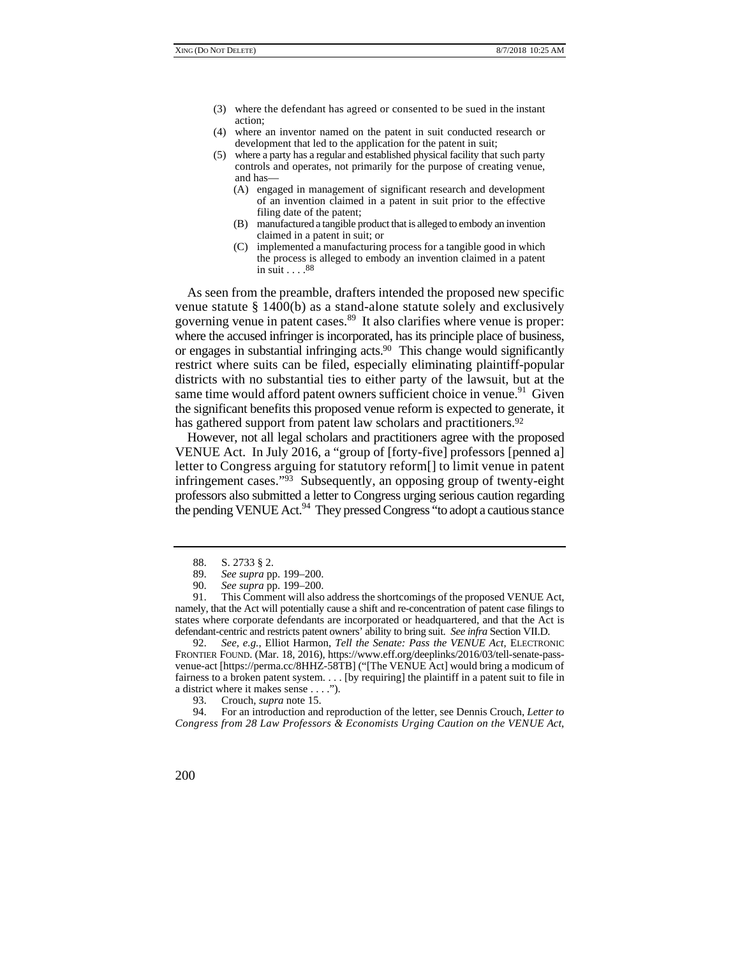- (3) where the defendant has agreed or consented to be sued in the instant action;
- (4) where an inventor named on the patent in suit conducted research or development that led to the application for the patent in suit;
- (5) where a party has a regular and established physical facility that such party controls and operates, not primarily for the purpose of creating venue, and has—
	- (A) engaged in management of significant research and development of an invention claimed in a patent in suit prior to the effective filing date of the patent;
	- (B) manufactured a tangible product that is alleged to embody an invention claimed in a patent in suit; or
	- (C) implemented a manufacturing process for a tangible good in which the process is alleged to embody an invention claimed in a patent  $\sin$  suit . . . . 88

As seen from the preamble, drafters intended the proposed new specific venue statute § 1400(b) as a stand-alone statute solely and exclusively governing venue in patent cases.<sup>89</sup> It also clarifies where venue is proper: where the accused infringer is incorporated, has its principle place of business, or engages in substantial infringing acts.90 This change would significantly restrict where suits can be filed, especially eliminating plaintiff-popular districts with no substantial ties to either party of the lawsuit, but at the same time would afford patent owners sufficient choice in venue.<sup>91</sup> Given the significant benefits this proposed venue reform is expected to generate, it has gathered support from patent law scholars and practitioners.<sup>92</sup>

However, not all legal scholars and practitioners agree with the proposed VENUE Act. In July 2016, a "group of [forty-five] professors [penned a] letter to Congress arguing for statutory reform[] to limit venue in patent infringement cases."93 Subsequently, an opposing group of twenty-eight professors also submitted a letter to Congress urging serious caution regarding the pending VENUE Act.<sup>94</sup> They pressed Congress "to adopt a cautious stance

92. *See, e.g.*, Elliot Harmon, *Tell the Senate: Pass the VENUE Act*, ELECTRONIC FRONTIER FOUND. (Mar. 18, 2016), https://www.eff.org/deeplinks/2016/03/tell-senate-passvenue-act [https://perma.cc/8HHZ-58TB] ("[The VENUE Act] would bring a modicum of fairness to a broken patent system. . . . [by requiring] the plaintiff in a patent suit to file in a district where it makes sense . . . .").

94. For an introduction and reproduction of the letter, see Dennis Crouch, *Letter to Congress from 28 Law Professors & Economists Urging Caution on the VENUE Act*,

<sup>88.</sup> S. 2733 § 2.

<sup>89.</sup> *See supra* pp. 199–200.

<sup>90.</sup> *See supra* pp. 199–200.

 states where corporate defendants are incorporated or headquartered, and that the Act is 91. This Comment will also address the shortcomings of the proposed VENUE Act, namely, that the Act will potentially cause a shift and re-concentration of patent case filings to defendant-centric and restricts patent owners' ability to bring suit. *See infra* Section VII.D.

<sup>93.</sup> Crouch, *supra* note 15.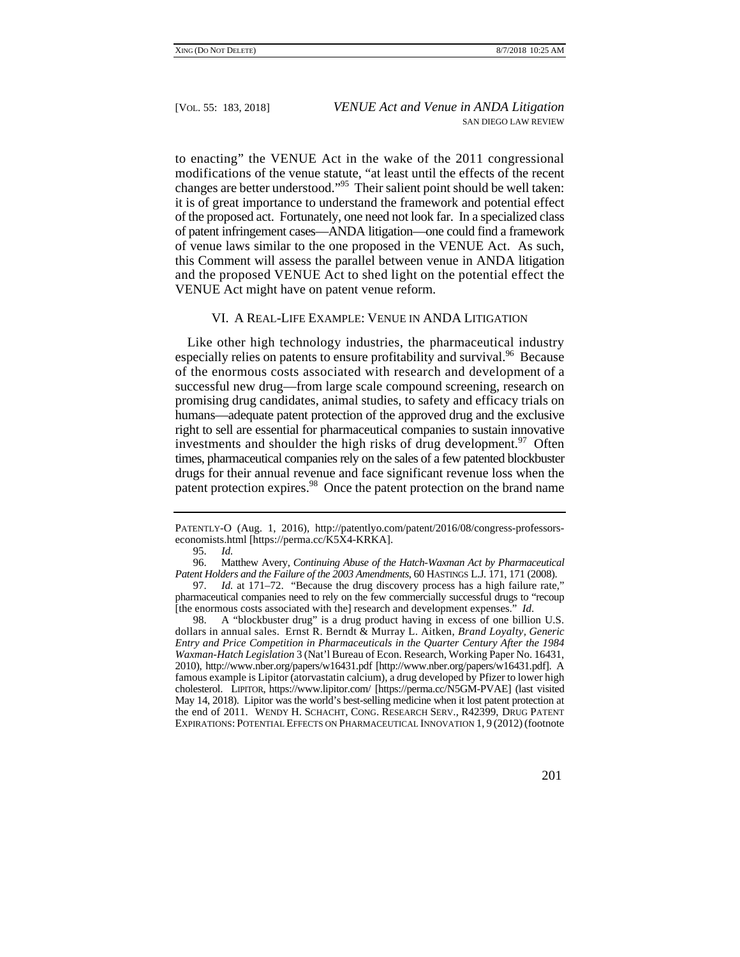of the proposed act. Fortunately, one need not look far. In a specialized class to enacting" the VENUE Act in the wake of the 2011 congressional modifications of the venue statute, "at least until the effects of the recent changes are better understood."95 Their salient point should be well taken: it is of great importance to understand the framework and potential effect of patent infringement cases—ANDA litigation—one could find a framework of venue laws similar to the one proposed in the VENUE Act. As such, this Comment will assess the parallel between venue in ANDA litigation and the proposed VENUE Act to shed light on the potential effect the VENUE Act might have on patent venue reform.

# VI. A REAL-LIFE EXAMPLE: VENUE IN ANDA LITIGATION

 of the enormous costs associated with research and development of a Like other high technology industries, the pharmaceutical industry especially relies on patents to ensure profitability and survival.<sup>96</sup> Because successful new drug—from large scale compound screening, research on promising drug candidates, animal studies, to safety and efficacy trials on humans—adequate patent protection of the approved drug and the exclusive right to sell are essential for pharmaceutical companies to sustain innovative investments and shoulder the high risks of drug development.  $97$  Often times, pharmaceutical companies rely on the sales of a few patented blockbuster drugs for their annual revenue and face significant revenue loss when the patent protection expires.<sup>98</sup> Once the patent protection on the brand name

PATENTLY-O (Aug. 1, 2016), http://patentlyo.com/patent/2016/08/congress-professorseconomists.html [https://perma.cc/K5X4-KRKA].

<sup>95.</sup> *Id.*

 96. Matthew Avery, *Continuing Abuse of the Hatch-Waxman Act by Pharmaceutical Patent Holders and the Failure of the 2003 Amendments*, 60 HASTINGS L.J. 171, 171 (2008).

<sup>97.</sup> *Id.* at 171–72. "Because the drug discovery process has a high failure rate," pharmaceutical companies need to rely on the few commercially successful drugs to "recoup [the enormous costs associated with the] research and development expenses." *Id*.

 2010), http://www.nber.org/papers/w16431.pdf [http://www.nber.org/papers/w16431.pdf]. A cholesterol. LIPITOR, https://www.lipitor.com/ [https://perma.cc/N5GM-PVAE] (last visited the end of 2011. WENDY H. SCHACHT, CONG. RESEARCH SERV., R42399, DRUG PATENT EXPIRATIONS: POTENTIAL EFFECTS ON PHARMACEUTICAL INNOVATION 1, 9 (2012) (footnote 98. A "blockbuster drug" is a drug product having in excess of one billion U.S. dollars in annual sales. Ernst R. Berndt & Murray L. Aitken, *Brand Loyalty, Generic Entry and Price Competition in Pharmaceuticals in the Quarter Century After the 1984 Waxman-Hatch Legislation* 3 (Nat'l Bureau of Econ. Research, Working Paper No. 16431, famous example is Lipitor (atorvastatin calcium), a drug developed by Pfizer to lower high May 14, 2018). Lipitor was the world's best-selling medicine when it lost patent protection at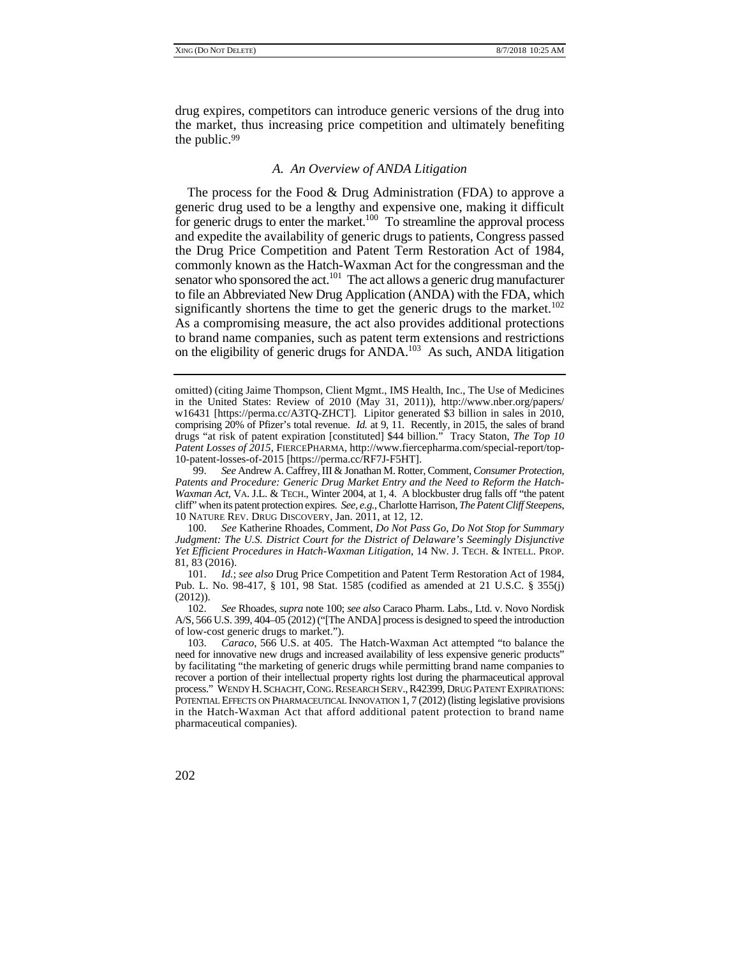drug expires, competitors can introduce generic versions of the drug into the market, thus increasing price competition and ultimately benefiting the public.99

#### *A. An Overview of ANDA Litigation*

for generic drugs to enter the market.<sup>100</sup> To streamline the approval process significantly shortens the time to get the generic drugs to the market.<sup>102</sup> The process for the Food & Drug Administration (FDA) to approve a generic drug used to be a lengthy and expensive one, making it difficult and expedite the availability of generic drugs to patients, Congress passed the Drug Price Competition and Patent Term Restoration Act of 1984, commonly known as the Hatch-Waxman Act for the congressman and the senator who sponsored the act.<sup>101</sup> The act allows a generic drug manufacturer to file an Abbreviated New Drug Application (ANDA) with the FDA, which As a compromising measure, the act also provides additional protections to brand name companies, such as patent term extensions and restrictions on the eligibility of generic drugs for ANDA.103 As such, ANDA litigation

100. *See* Katherine Rhoades, Comment, *Do Not Pass Go, Do Not Stop for Summary Judgment: The U.S. District Court for the District of Delaware's Seemingly Disjunctive Yet Efficient Procedures in Hatch-Waxman Litigation*, 14 NW. J. TECH. & INTELL. PROP. 81, 83 (2016).

101. *Id.*; *see also* Drug Price Competition and Patent Term Restoration Act of 1984, Pub. L. No. 98-417, § 101, 98 Stat. 1585 (codified as amended at 21 U.S.C. § 355(j) (2012)).

102. *See* Rhoades, *supra* note 100; *see also* Caraco Pharm. Labs., Ltd. v. Novo Nordisk A/S, 566 U.S. 399, 404–05 (2012) ("[The ANDA] process is designed to speed the introduction of low-cost generic drugs to market.").

 process." WENDY H. SCHACHT, CONG. RESEARCH SERV., R42399, DRUG PATENT EXPIRATIONS: POTENTIAL EFFECTS ON PHARMACEUTICAL INNOVATION 1, 7 (2012) (listing legislative provisions 103. *Caraco*, 566 U.S. at 405. The Hatch-Waxman Act attempted "to balance the need for innovative new drugs and increased availability of less expensive generic products" by facilitating "the marketing of generic drugs while permitting brand name companies to recover a portion of their intellectual property rights lost during the pharmaceutical approval in the Hatch-Waxman Act that afford additional patent protection to brand name pharmaceutical companies).

 w16431 [https://perma.cc/A3TQ-ZHCT]. Lipitor generated \$3 billion in sales in 2010, omitted) (citing Jaime Thompson, Client Mgmt., IMS Health, Inc., The Use of Medicines in the United States: Review of 2010 (May 31, 2011)), http://www.nber.org/papers/ comprising 20% of Pfizer's total revenue. *Id.* at 9, 11. Recently, in 2015, the sales of brand drugs "at risk of patent expiration [constituted] \$44 billion." Tracy Staton, *The Top 10 Patent Losses of 2015*, FIERCEPHARMA, http://www.fiercepharma.com/special-report/top-10-patent-losses-of-2015 [https://perma.cc/RF7J-F5HT].

 *Waxman Act*, VA. J.L. & TECH., Winter 2004, at 1, 4. A blockbuster drug falls off "the patent cliff" when its patent protection expires. *See, e.g.*, Charlotte Harrison, *The Patent Cliff Steepens*, 99. *See* Andrew A. Caffrey, III & Jonathan M. Rotter, Comment, *Consumer Protection, Patents and Procedure: Generic Drug Market Entry and the Need to Reform the Hatch-*10 NATURE REV. DRUG DISCOVERY, Jan. 2011, at 12, 12.

<sup>202</sup>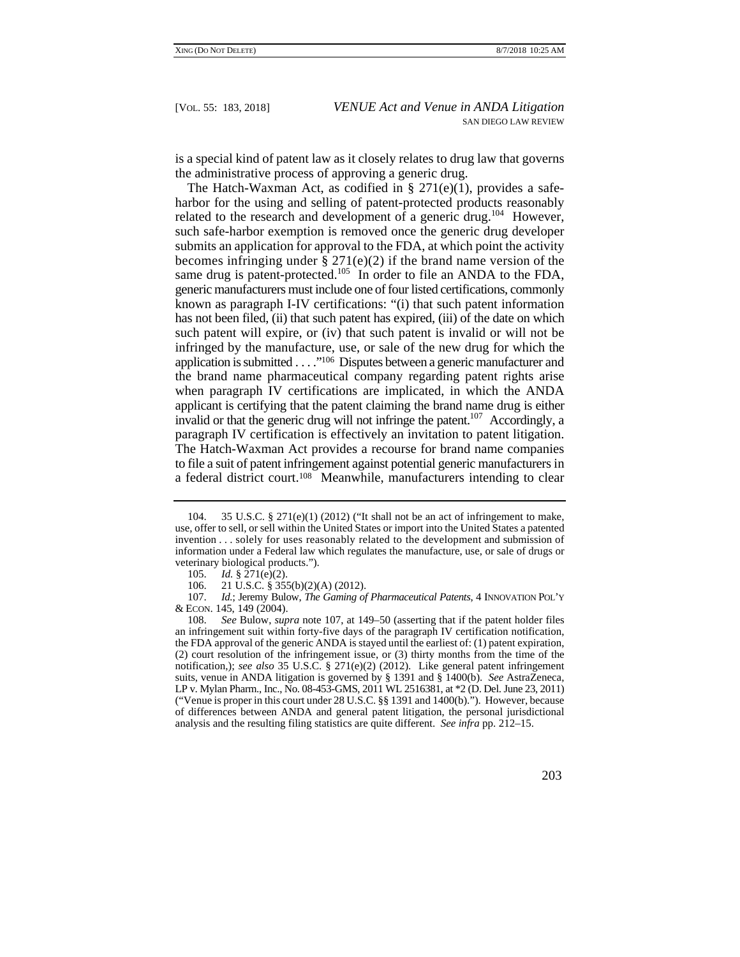is a special kind of patent law as it closely relates to drug law that governs the administrative process of approving a generic drug.

becomes infringing under  $\S 271(e)(2)$  if the brand name version of the applicant is certifying that the patent claiming the brand name drug is either paragraph IV certification is effectively an invitation to patent litigation. The Hatch-Waxman Act, as codified in  $\S 271(e)(1)$ , provides a safeharbor for the using and selling of patent-protected products reasonably related to the research and development of a generic drug.<sup>104</sup> However, such safe-harbor exemption is removed once the generic drug developer submits an application for approval to the FDA, at which point the activity same drug is patent-protected.<sup>105</sup> In order to file an ANDA to the FDA, generic manufacturers must include one of four listed certifications, commonly known as paragraph I-IV certifications: "(i) that such patent information has not been filed, (ii) that such patent has expired, (iii) of the date on which such patent will expire, or (iv) that such patent is invalid or will not be infringed by the manufacture, use, or sale of the new drug for which the application is submitted . . . . .<sup>106</sup> Disputes between a generic manufacturer and the brand name pharmaceutical company regarding patent rights arise when paragraph IV certifications are implicated, in which the ANDA invalid or that the generic drug will not infringe the patent.<sup>107</sup> Accordingly, a The Hatch-Waxman Act provides a recourse for brand name companies to file a suit of patent infringement against potential generic manufacturers in a federal district court.108 Meanwhile, manufacturers intending to clear

 107. *Id.*; Jeremy Bulow, *The Gaming of Pharmaceutical Patents*, 4 INNOVATION POL'Y & ECON. 145, 149 (2004).

 LP v. Mylan Pharm., Inc., No. 08-453-GMS, 2011 WL 2516381, at \*2 (D. Del. June 23, 2011) 108. *See* Bulow, *supra* note 107, at 149–50 (asserting that if the patent holder files an infringement suit within forty-five days of the paragraph IV certification notification, the FDA approval of the generic ANDA is stayed until the earliest of: (1) patent expiration, (2) court resolution of the infringement issue, or (3) thirty months from the time of the notification,); *see also* 35 U.S.C. § 271(e)(2) (2012). Like general patent infringement suits, venue in ANDA litigation is governed by § 1391 and § 1400(b). *See* AstraZeneca, ("Venue is proper in this court under 28 U.S.C. §§ 1391 and 1400(b)."). However, because of differences between ANDA and general patent litigation, the personal jurisdictional analysis and the resulting filing statistics are quite different. *See infra* pp. 212–15.



 invention . . . solely for uses reasonably related to the development and submission of 104. 35 U.S.C. § 271(e)(1) (2012) ("It shall not be an act of infringement to make, use, offer to sell, or sell within the United States or import into the United States a patented information under a Federal law which regulates the manufacture, use, or sale of drugs or veterinary biological products.").

<sup>105.</sup> *Id.* § 271(e)(2).<br>106. 21 U.S.C. § 355 21 U.S.C. § 355(b)(2)(A) (2012).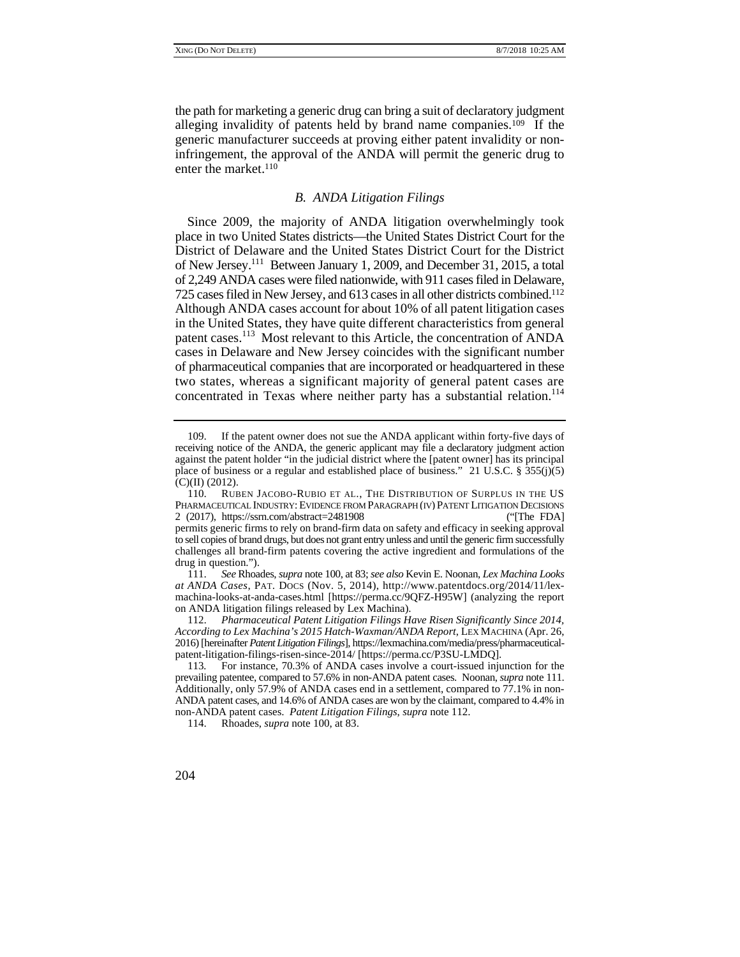the path for marketing a generic drug can bring a suit of declaratory judgment alleging invalidity of patents held by brand name companies.109 If the generic manufacturer succeeds at proving either patent invalidity or noninfringement, the approval of the ANDA will permit the generic drug to enter the market.<sup>110</sup>

#### *B. ANDA Litigation Filings*

 place in two United States districts—the United States District Court for the 725 cases filed in New Jersey, and 613 cases in all other districts combined.112 patent cases.<sup>113</sup> Most relevant to this Article, the concentration of ANDA concentrated in Texas where neither party has a substantial relation.<sup>114</sup> Since 2009, the majority of ANDA litigation overwhelmingly took District of Delaware and the United States District Court for the District of New Jersey.111 Between January 1, 2009, and December 31, 2015, a total of 2,249 ANDA cases were filed nationwide, with 911 cases filed in Delaware, Although ANDA cases account for about 10% of all patent litigation cases in the United States, they have quite different characteristics from general cases in Delaware and New Jersey coincides with the significant number of pharmaceutical companies that are incorporated or headquartered in these two states, whereas a significant majority of general patent cases are

111. *See* Rhoades, *supra* note 100, at 83; *see also* Kevin E. Noonan, *Lex Machina Looks at ANDA Cases*, PAT. DOCS (Nov. 5, 2014), http://www.patentdocs.org/2014/11/lexmachina-looks-at-anda-cases.html [https://perma.cc/9QFZ-H95W] (analyzing the report on ANDA litigation filings released by Lex Machina).

112. *Pharmaceutical Patent Litigation Filings Have Risen Significantly Since 2014, According to Lex Machina's 2015 Hatch-Waxman/ANDA Report*, LEX MACHINA (Apr. 26, 2016) [hereinafter *Patent Litigation Filings*], https://lexmachina.com/media/press/pharmaceuticalpatent-litigation-filings-risen-since-2014/ [https://perma.cc/P3SU-LMDQ].

<sup>109.</sup> If the patent owner does not sue the ANDA applicant within forty-five days of receiving notice of the ANDA, the generic applicant may file a declaratory judgment action against the patent holder "in the judicial district where the [patent owner] has its principal place of business or a regular and established place of business." 21 U.S.C.  $\frac{255(1)(5)}{25}$ (C)(II) (2012).

 permits generic firms to rely on brand-firm data on safety and efficacy in seeking approval 110. RUBEN JACOBO-RUBIO ET AL., THE DISTRIBUTION OF SURPLUS IN THE US PHARMACEUTICAL INDUSTRY: EVIDENCE FROM PARAGRAPH (IV) PATENT LITIGATION DECISIONS 2 (2017), https://ssrn.com/abstract=2481908 [if The FDA] to sell copies of brand drugs, but does not grant entry unless and until the generic firm successfully challenges all brand-firm patents covering the active ingredient and formulations of the drug in question.").

<sup>113</sup>*.* For instance, 70.3% of ANDA cases involve a court-issued injunction for the prevailing patentee, compared to 57.6% in non-ANDA patent cases. Noonan, *supra* note 111. Additionally, only 57.9% of ANDA cases end in a settlement, compared to 77.1% in non-ANDA patent cases, and 14.6% of ANDA cases are won by the claimant, compared to 4.4% in non-ANDA patent cases. *Patent Litigation Filings*, *supra* note 112.

 <sup>114.</sup> Rhoades, *supra* note 100, at 83.

<sup>204</sup>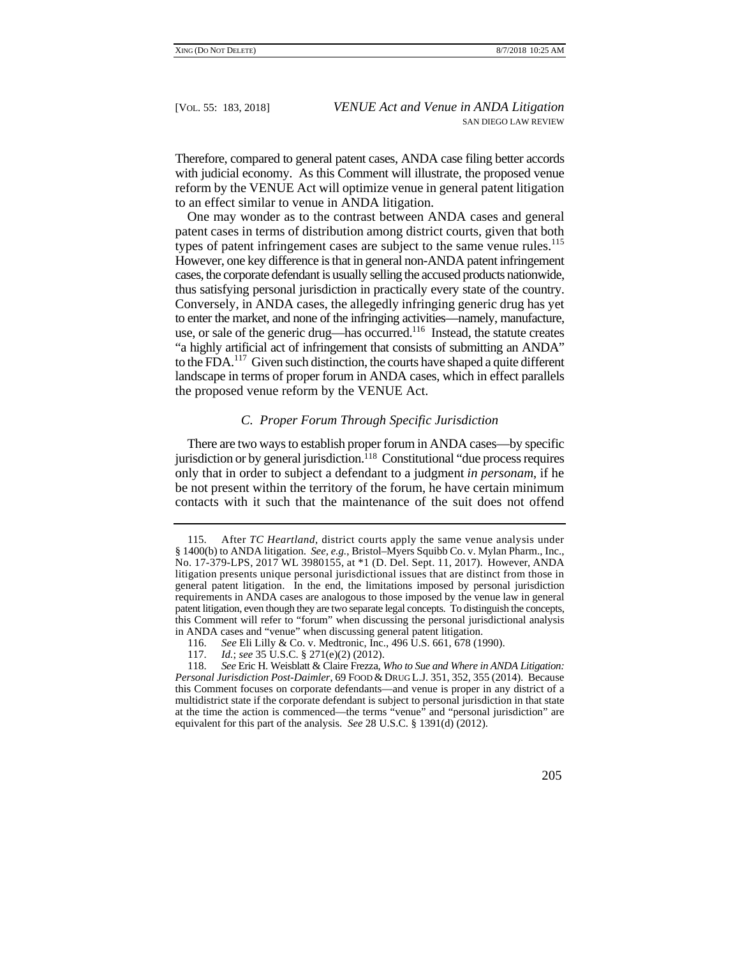Therefore, compared to general patent cases, ANDA case filing better accords with judicial economy. As this Comment will illustrate, the proposed venue reform by the VENUE Act will optimize venue in general patent litigation to an effect similar to venue in ANDA litigation.

types of patent infringement cases are subject to the same venue rules.<sup>115</sup> One may wonder as to the contrast between ANDA cases and general patent cases in terms of distribution among district courts, given that both However, one key difference is that in general non-ANDA patent infringement cases, the corporate defendant is usually selling the accused products nationwide, thus satisfying personal jurisdiction in practically every state of the country. Conversely, in ANDA cases, the allegedly infringing generic drug has yet to enter the market, and none of the infringing activities—namely, manufacture, use, or sale of the generic drug—has occurred.116 Instead, the statute creates "a highly artificial act of infringement that consists of submitting an ANDA" to the FDA.117 Given such distinction, the courts have shaped a quite different landscape in terms of proper forum in ANDA cases, which in effect parallels the proposed venue reform by the VENUE Act.

# *C. Proper Forum Through Specific Jurisdiction*

There are two ways to establish proper forum in ANDA cases—by specific jurisdiction or by general jurisdiction.118 Constitutional "due process requires only that in order to subject a defendant to a judgment *in personam*, if he be not present within the territory of the forum, he have certain minimum contacts with it such that the maintenance of the suit does not offend

 115. After *TC Heartland*, district courts apply the same venue analysis under patent litigation, even though they are two separate legal concepts. To distinguish the concepts, § 1400(b) to ANDA litigation. *See, e.g.*, Bristol–Myers Squibb Co. v. Mylan Pharm., Inc., No. 17-379-LPS, 2017 WL 3980155, at \*1 (D. Del. Sept. 11, 2017). However, ANDA litigation presents unique personal jurisdictional issues that are distinct from those in general patent litigation. In the end, the limitations imposed by personal jurisdiction requirements in ANDA cases are analogous to those imposed by the venue law in general this Comment will refer to "forum" when discussing the personal jurisdictional analysis in ANDA cases and "venue" when discussing general patent litigation.

<sup>116.</sup> *See* Eli Lilly & Co. v. Medtronic, Inc., 496 U.S. 661, 678 (1990).

<sup>117.</sup> *Id.*; *see* 35 U.S.C. § 271(e)(2) (2012).

 at the time the action is commenced—the terms "venue" and "personal jurisdiction" are 118. *See* Eric H. Weisblatt & Claire Frezza, *Who to Sue and Where in ANDA Litigation: Personal Jurisdiction Post-Daimler*, 69 FOOD & DRUG L.J. 351, 352, 355 (2014). Because this Comment focuses on corporate defendants—and venue is proper in any district of a multidistrict state if the corporate defendant is subject to personal jurisdiction in that state equivalent for this part of the analysis. *See* 28 U.S.C. § 1391(d) (2012).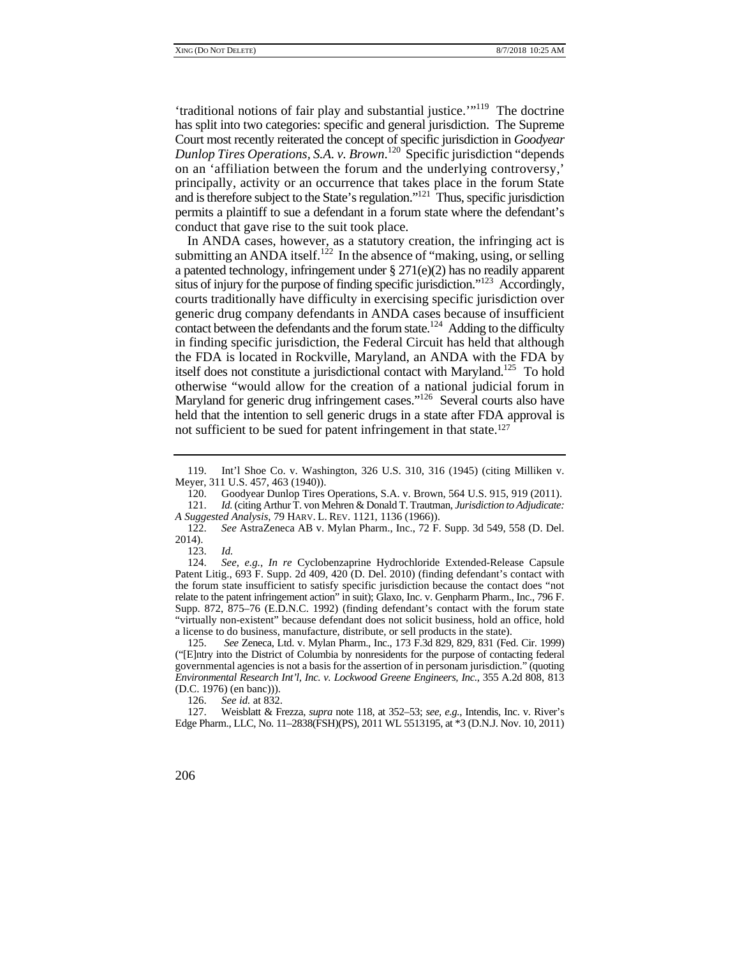*Dunlop Tires Operations, S.A. v. Brown*. 120 Specific jurisdiction "depends 'traditional notions of fair play and substantial justice.'"119 The doctrine has split into two categories: specific and general jurisdiction. The Supreme Court most recently reiterated the concept of specific jurisdiction in *Goodyear*  on an 'affiliation between the forum and the underlying controversy,' principally, activity or an occurrence that takes place in the forum State and is therefore subject to the State's regulation."<sup>121</sup> Thus, specific jurisdiction permits a plaintiff to sue a defendant in a forum state where the defendant's conduct that gave rise to the suit took place.

itself does not constitute a jurisdictional contact with Maryland.<sup>125</sup> To hold Maryland for generic drug infringement cases."<sup>126</sup> Several courts also have In ANDA cases, however, as a statutory creation, the infringing act is submitting an ANDA itself.<sup>122</sup> In the absence of "making, using, or selling a patented technology, infringement under § 271(e)(2) has no readily apparent situs of injury for the purpose of finding specific jurisdiction."123 Accordingly, courts traditionally have difficulty in exercising specific jurisdiction over generic drug company defendants in ANDA cases because of insufficient contact between the defendants and the forum state.<sup>124</sup> Adding to the difficulty in finding specific jurisdiction, the Federal Circuit has held that although the FDA is located in Rockville, Maryland, an ANDA with the FDA by otherwise "would allow for the creation of a national judicial forum in held that the intention to sell generic drugs in a state after FDA approval is not sufficient to be sued for patent infringement in that state.127

123. *Id.*

 relate to the patent infringement action" in suit); Glaxo, Inc. v. Genpharm Pharm., Inc., 796 F. 124. *See, e.g.*, *In re* Cyclobenzaprine Hydrochloride Extended-Release Capsule Patent Litig., 693 F. Supp. 2d 409, 420 (D. Del. 2010) (finding defendant's contact with the forum state insufficient to satisfy specific jurisdiction because the contact does "not Supp. 872, 875–76 (E.D.N.C. 1992) (finding defendant's contact with the forum state "virtually non-existent" because defendant does not solicit business, hold an office, hold a license to do business, manufacture, distribute, or sell products in the state).

 ("[E]ntry into the District of Columbia by nonresidents for the purpose of contacting federal 125. *See* Zeneca, Ltd. v. Mylan Pharm., Inc., 173 F.3d 829, 829, 831 (Fed. Cir. 1999) governmental agencies is not a basis for the assertion of in personam jurisdiction." (quoting *Environmental Research Int'l, Inc. v. Lockwood Greene Engineers, Inc.*, 355 A.2d 808, 813 (D.C. 1976) (en banc))).

126. *See id.* at 832.

 Edge Pharm., LLC, No. 11–2838(FSH)(PS), 2011 WL 5513195, at \*3 (D.N.J. Nov. 10, 2011) 127. Weisblatt & Frezza, *supra* note 118, at 352–53; *see, e.g.*, Intendis, Inc. v. River's

<sup>119.</sup> Int'l Shoe Co. v. Washington, 326 U.S. 310, 316 (1945) (citing Milliken v. Meyer, 311 U.S. 457, 463 (1940)).

<sup>120.</sup> Goodyear Dunlop Tires Operations, S.A. v. Brown, 564 U.S. 915, 919 (2011).<br>121. Id. (citing Arthur T. von Mehren & Donald T. Trautman, Jurisdiction to Adjudicate:

 *A Suggested Analysis*, 79 HARV. L. REV. 1121, 1136 (1966)). 121. *Id.* (citing Arthur T. von Mehren & Donald T. Trautman, *Jurisdiction to Adjudicate:* 

<sup>122.</sup> *See* AstraZeneca AB v. Mylan Pharm., Inc., 72 F. Supp. 3d 549, 558 (D. Del. 2014).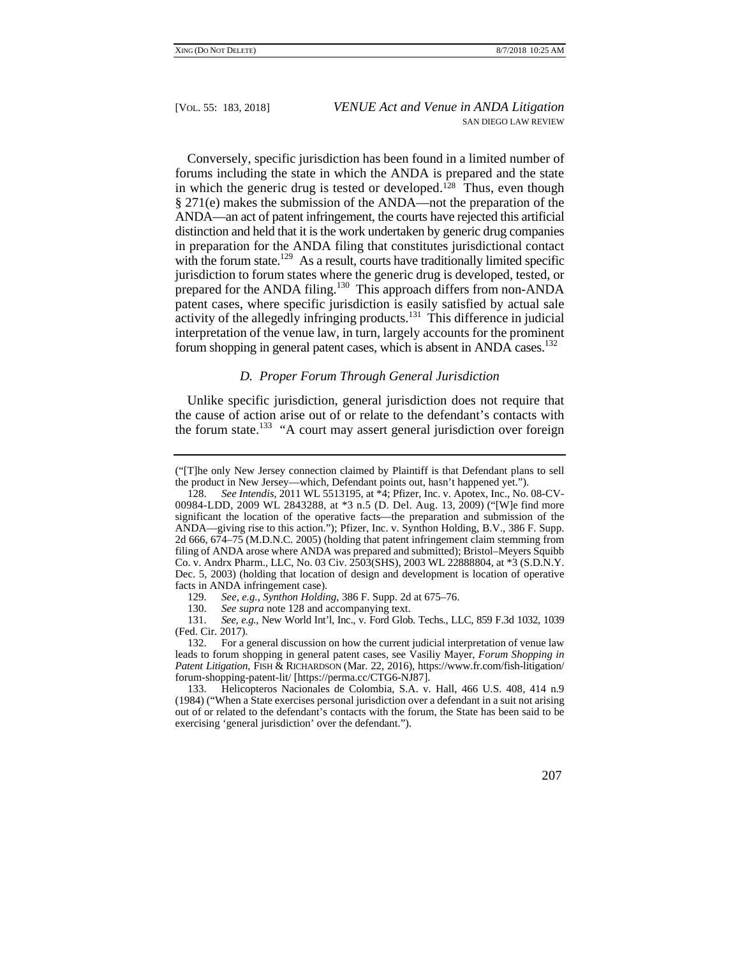in which the generic drug is tested or developed.<sup>128</sup> Thus, even though Conversely, specific jurisdiction has been found in a limited number of forums including the state in which the ANDA is prepared and the state § 271(e) makes the submission of the ANDA—not the preparation of the ANDA—an act of patent infringement, the courts have rejected this artificial distinction and held that it is the work undertaken by generic drug companies in preparation for the ANDA filing that constitutes jurisdictional contact with the forum state.<sup>129</sup> As a result, courts have traditionally limited specific jurisdiction to forum states where the generic drug is developed, tested, or prepared for the ANDA filing.<sup>130</sup> This approach differs from non-ANDA patent cases, where specific jurisdiction is easily satisfied by actual sale activity of the allegedly infringing products.<sup>131</sup> This difference in judicial interpretation of the venue law, in turn, largely accounts for the prominent forum shopping in general patent cases, which is absent in ANDA cases.<sup>132</sup>

## *D. Proper Forum Through General Jurisdiction*

Unlike specific jurisdiction, general jurisdiction does not require that the cause of action arise out of or relate to the defendant's contacts with the forum state.<sup>133</sup> "A court may assert general jurisdiction over foreign

 ("[T]he only New Jersey connection claimed by Plaintiff is that Defendant plans to sell the product in New Jersey—which, Defendant points out, hasn't happened yet.").

<sup>128.</sup> *See Intendis*, 2011 WL 5513195, at \*4; Pfizer, Inc. v. Apotex, Inc., No. 08-CV-00984-LDD, 2009 WL 2843288, at \*3 n.5 (D. Del. Aug. 13, 2009) ("[W]e find more significant the location of the operative facts—the preparation and submission of the ANDA—giving rise to this action."); Pfizer, Inc. v. Synthon Holding, B.V., 386 F. Supp. 2d 666, 674–75 (M.D.N.C. 2005) (holding that patent infringement claim stemming from filing of ANDA arose where ANDA was prepared and submitted); Bristol–Meyers Squibb Co. v. Andrx Pharm., LLC, No. 03 Civ. 2503(SHS), 2003 WL 22888804, at \*3 (S.D.N.Y. Dec. 5, 2003) (holding that location of design and development is location of operative facts in ANDA infringement case).

<sup>129.</sup> *See, e.g.*, *Synthon Holding*, 386 F. Supp. 2d at 675–76.

<sup>130.</sup> *See supra* note 128 and accompanying text.

<sup>131.</sup> *See, e.g.*, New World Int'l, Inc., v. Ford Glob. Techs., LLC, 859 F.3d 1032, 1039 (Fed. Cir. 2017).

<sup>132.</sup> For a general discussion on how the current judicial interpretation of venue law leads to forum shopping in general patent cases, see Vasiliy Mayer, *Forum Shopping in Patent Litigation*, FISH & RICHARDSON (Mar. 22, 2016), https://www.fr.com/fish-litigation/ forum-shopping-patent-lit/ [https://perma.cc/CTG6-NJ87].

<sup>133.</sup> Helicopteros Nacionales de Colombia, S.A. v. Hall, 466 U.S. 408, 414 n.9 (1984) ("When a State exercises personal jurisdiction over a defendant in a suit not arising out of or related to the defendant's contacts with the forum, the State has been said to be exercising 'general jurisdiction' over the defendant.").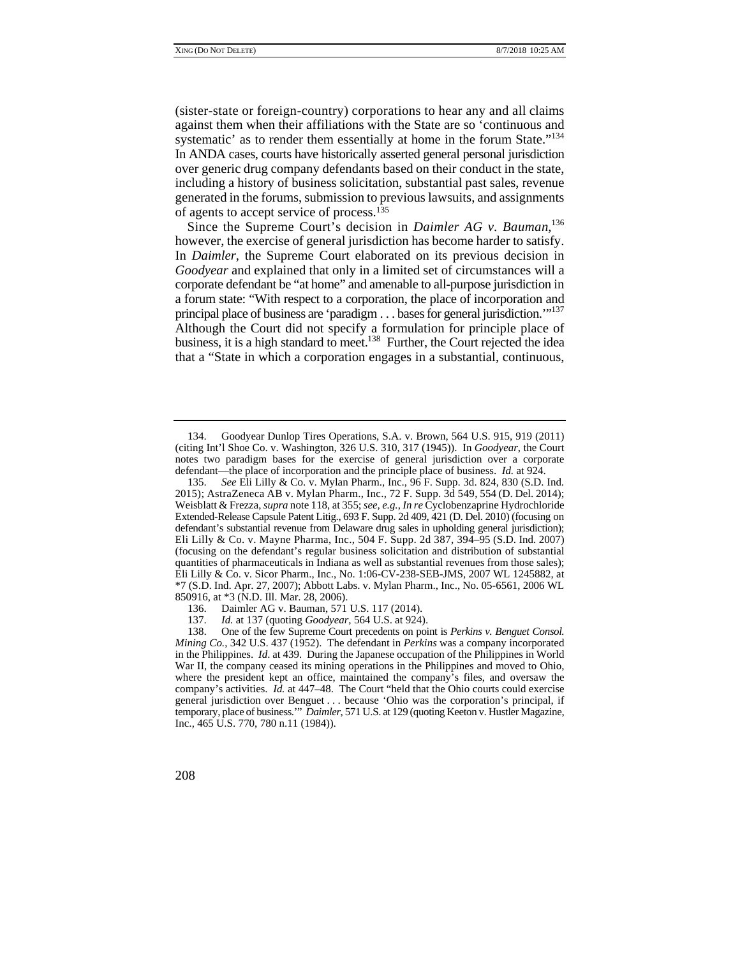systematic' as to render them essentially at home in the forum State."<sup>134</sup> (sister-state or foreign-country) corporations to hear any and all claims against them when their affiliations with the State are so 'continuous and In ANDA cases, courts have historically asserted general personal jurisdiction over generic drug company defendants based on their conduct in the state, including a history of business solicitation, substantial past sales, revenue generated in the forums, submission to previous lawsuits, and assignments of agents to accept service of process.135

 principal place of business are 'paradigm . . . bases for general jurisdiction.'"137 Since the Supreme Court's decision in *Daimler AG v. Bauman*, 136 however, the exercise of general jurisdiction has become harder to satisfy. In *Daimler*, the Supreme Court elaborated on its previous decision in *Goodyear* and explained that only in a limited set of circumstances will a corporate defendant be "at home" and amenable to all-purpose jurisdiction in a forum state: "With respect to a corporation, the place of incorporation and Although the Court did not specify a formulation for principle place of business, it is a high standard to meet.<sup>138</sup> Further, the Court rejected the idea that a "State in which a corporation engages in a substantial, continuous,

<sup>134.</sup> Goodyear Dunlop Tires Operations, S.A. v. Brown, 564 U.S. 915, 919 (2011) (citing Int'l Shoe Co. v. Washington, 326 U.S. 310, 317 (1945)). In *Goodyear*, the Court notes two paradigm bases for the exercise of general jurisdiction over a corporate defendant—the place of incorporation and the principle place of business. *Id.* at 924.

 135. *See* Eli Lilly & Co. v. Mylan Pharm., Inc., 96 F. Supp. 3d. 824, 830 (S.D. Ind. Extended-Release Capsule Patent Litig., 693 F. Supp. 2d 409, 421 (D. Del. 2010) (focusing on 2015); AstraZeneca AB v. Mylan Pharm., Inc., 72 F. Supp. 3d 549, 554 (D. Del. 2014); Weisblatt & Frezza, *supra* note 118, at 355; *see, e.g.*, *In re* Cyclobenzaprine Hydrochloride defendant's substantial revenue from Delaware drug sales in upholding general jurisdiction); Eli Lilly & Co. v. Mayne Pharma, Inc., 504 F. Supp. 2d 387, 394–95 (S.D. Ind. 2007) (focusing on the defendant's regular business solicitation and distribution of substantial quantities of pharmaceuticals in Indiana as well as substantial revenues from those sales); Eli Lilly & Co. v. Sicor Pharm., Inc., No. 1:06-CV-238-SEB-JMS, 2007 WL 1245882, at \*7 (S.D. Ind. Apr. 27, 2007); Abbott Labs. v. Mylan Pharm., Inc., No. 05-6561, 2006 WL 850916, at \*3 (N.D. Ill. Mar. 28, 2006).<br>136. Daimler AG v. Bauman, 571

Daimler AG v. Bauman, 571 U.S. 117 (2014).

<sup>137.</sup> *Id.* at 137 (quoting *Goodyear*, 564 U.S. at 924).

 War II, the company ceased its mining operations in the Philippines and moved to Ohio, company's activities. *Id.* at 447–48. The Court "held that the Ohio courts could exercise 138. One of the few Supreme Court precedents on point is *Perkins v. Benguet Consol. Mining Co.*, 342 U.S. 437 (1952). The defendant in *Perkins* was a company incorporated in the Philippines. *Id*. at 439. During the Japanese occupation of the Philippines in World where the president kept an office, maintained the company's files, and oversaw the general jurisdiction over Benguet . . . because 'Ohio was the corporation's principal, if temporary, place of business.'" *Daimler*, 571 U.S. at 129 (quoting Keeton v. Hustler Magazine, Inc.*,* 465 U.S. 770, 780 n.11 (1984)).

<sup>208</sup>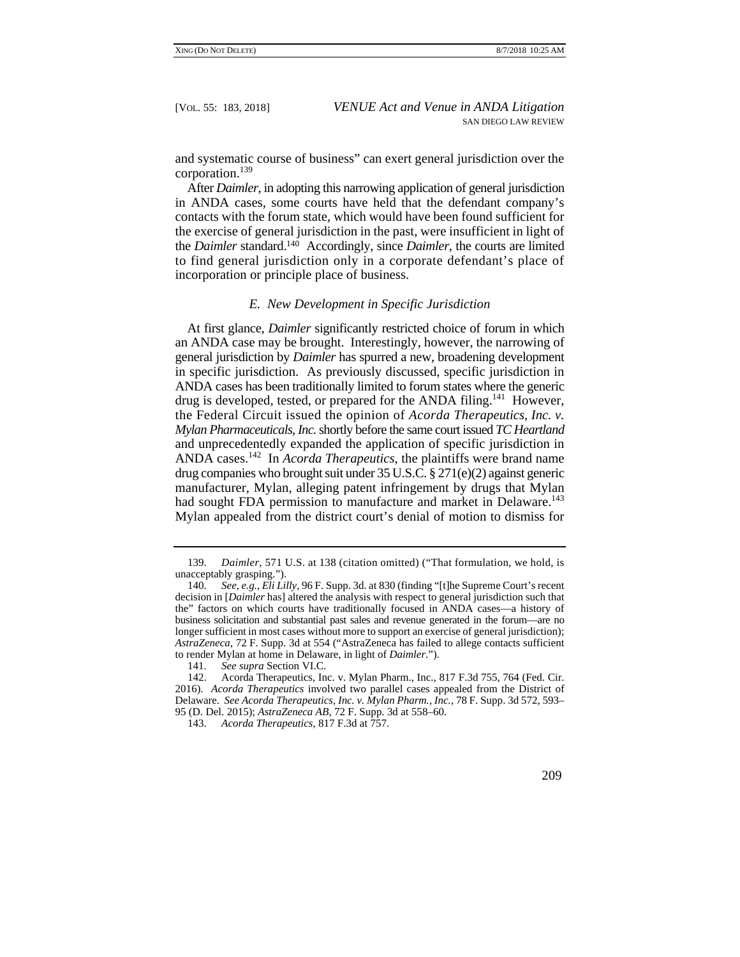and systematic course of business" can exert general jurisdiction over the corporation.139

After *Daimler*, in adopting this narrowing application of general jurisdiction in ANDA cases, some courts have held that the defendant company's contacts with the forum state, which would have been found sufficient for the exercise of general jurisdiction in the past, were insufficient in light of the *Daimler* standard.140 Accordingly, since *Daimler*, the courts are limited to find general jurisdiction only in a corporate defendant's place of incorporation or principle place of business.

# *E. New Development in Specific Jurisdiction*

 At first glance, *Daimler* significantly restricted choice of forum in which drug companies who brought suit under 35 U.S.C. § 271(e)(2) against generic had sought FDA permission to manufacture and market in Delaware.<sup>143</sup> an ANDA case may be brought. Interestingly, however, the narrowing of general jurisdiction by *Daimler* has spurred a new, broadening development in specific jurisdiction. As previously discussed, specific jurisdiction in ANDA cases has been traditionally limited to forum states where the generic drug is developed, tested, or prepared for the ANDA filing.<sup>141</sup> However, the Federal Circuit issued the opinion of *Acorda Therapeutics, Inc. v. Mylan Pharmaceuticals, Inc.* shortly before the same court issued *TC Heartland*  and unprecedentedly expanded the application of specific jurisdiction in ANDA cases.142 In *Acorda Therapeutics*, the plaintiffs were brand name manufacturer, Mylan, alleging patent infringement by drugs that Mylan Mylan appealed from the district court's denial of motion to dismiss for

<sup>143.</sup> *Acorda Therapeutics*, 817 F.3d at 757.



<sup>139.</sup> *Daimler*, 571 U.S. at 138 (citation omitted) ("That formulation, we hold, is unacceptably grasping.").

<sup>140.</sup> *See, e.g.*, *Eli Lilly*, 96 F. Supp. 3d. at 830 (finding "[t]he Supreme Court's recent decision in [*Daimler* has] altered the analysis with respect to general jurisdiction such that the" factors on which courts have traditionally focused in ANDA cases—a history of business solicitation and substantial past sales and revenue generated in the forum—are no longer sufficient in most cases without more to support an exercise of general jurisdiction); *AstraZeneca*, 72 F. Supp. 3d at 554 ("AstraZeneca has failed to allege contacts sufficient to render Mylan at home in Delaware, in light of *Daimler*.").

<sup>141.</sup> *See supra* Section VI.C.

 Delaware. *See Acorda Therapeutics, Inc. v. Mylan Pharm., Inc.*, 78 F. Supp. 3d 572, 593– 142. Acorda Therapeutics, Inc. v. Mylan Pharm., Inc., 817 F.3d 755, 764 (Fed. Cir. 2016). *Acorda Therapeutics* involved two parallel cases appealed from the District of 95 (D. Del. 2015); *AstraZeneca AB*, 72 F. Supp. 3d at 558–60.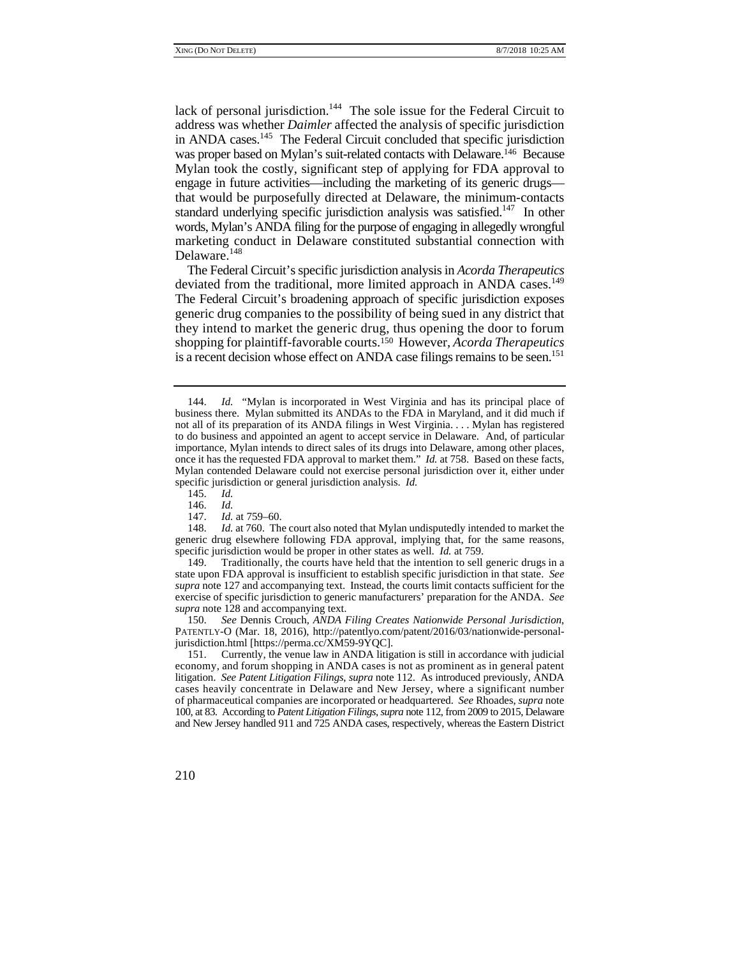in ANDA cases.<sup>145</sup> The Federal Circuit concluded that specific jurisdiction standard underlying specific jurisdiction analysis was satisfied.<sup>147</sup> In other lack of personal jurisdiction.<sup>144</sup> The sole issue for the Federal Circuit to address was whether *Daimler* affected the analysis of specific jurisdiction was proper based on Mylan's suit-related contacts with Delaware.<sup>146</sup> Because Mylan took the costly, significant step of applying for FDA approval to engage in future activities—including the marketing of its generic drugs that would be purposefully directed at Delaware, the minimum-contacts words, Mylan's ANDA filing for the purpose of engaging in allegedly wrongful marketing conduct in Delaware constituted substantial connection with Delaware.<sup>148</sup>

deviated from the traditional, more limited approach in ANDA cases.<sup>149</sup> shopping for plaintiff-favorable courts.150 However, *Acorda Therapeutics*  is a recent decision whose effect on ANDA case filings remains to be seen.<sup>151</sup> The Federal Circuit's specific jurisdiction analysis in *Acorda Therapeutics*  The Federal Circuit's broadening approach of specific jurisdiction exposes generic drug companies to the possibility of being sued in any district that they intend to market the generic drug, thus opening the door to forum

<sup>151.</sup> Currently, the venue law in ANDA litigation is still in accordance with judicial economy, and forum shopping in ANDA cases is not as prominent as in general patent litigation. *See Patent Litigation Filings*, *supra* note 112. As introduced previously, ANDA cases heavily concentrate in Delaware and New Jersey, where a significant number of pharmaceutical companies are incorporated or headquartered. *See* Rhoades, *supra* note 100, at 83. According to *Patent Litigation Filings*, *supra* note 112, from 2009 to 2015, Delaware and New Jersey handled 911 and 725 ANDA cases, respectively, whereas the Eastern District



 144. *Id.* "Mylan is incorporated in West Virginia and has its principal place of once it has the requested FDA approval to market them." *Id.* at 758. Based on these facts, Mylan contended Delaware could not exercise personal jurisdiction over it, either under business there. Mylan submitted its ANDAs to the FDA in Maryland, and it did much if not all of its preparation of its ANDA filings in West Virginia. . . . Mylan has registered to do business and appointed an agent to accept service in Delaware. And, of particular importance, Mylan intends to direct sales of its drugs into Delaware, among other places, specific jurisdiction or general jurisdiction analysis. *Id.*

 <sup>145.</sup> *Id.*

 <sup>146.</sup> *Id.*

 <sup>147.</sup> *Id.* at 759–60.

generic drug elsewhere following FDA approval, implying that, for the same reasons, 148. *Id.* at 760. The court also noted that Mylan undisputedly intended to market the specific jurisdiction would be proper in other states as well. *Id.* at 759.

 149. Traditionally, the courts have held that the intention to sell generic drugs in a exercise of specific jurisdiction to generic manufacturers' preparation for the ANDA. *See*  state upon FDA approval is insufficient to establish specific jurisdiction in that state. *See supra* note 127 and accompanying text. Instead, the courts limit contacts sufficient for the *supra* note 128 and accompanying text.

<sup>150.</sup> *See* Dennis Crouch, *ANDA Filing Creates Nationwide Personal Jurisdiction*, PATENTLY-O (Mar. 18, 2016), http://patentlyo.com/patent/2016/03/nationwide-personaljurisdiction.html [https://perma.cc/XM59-9YQC].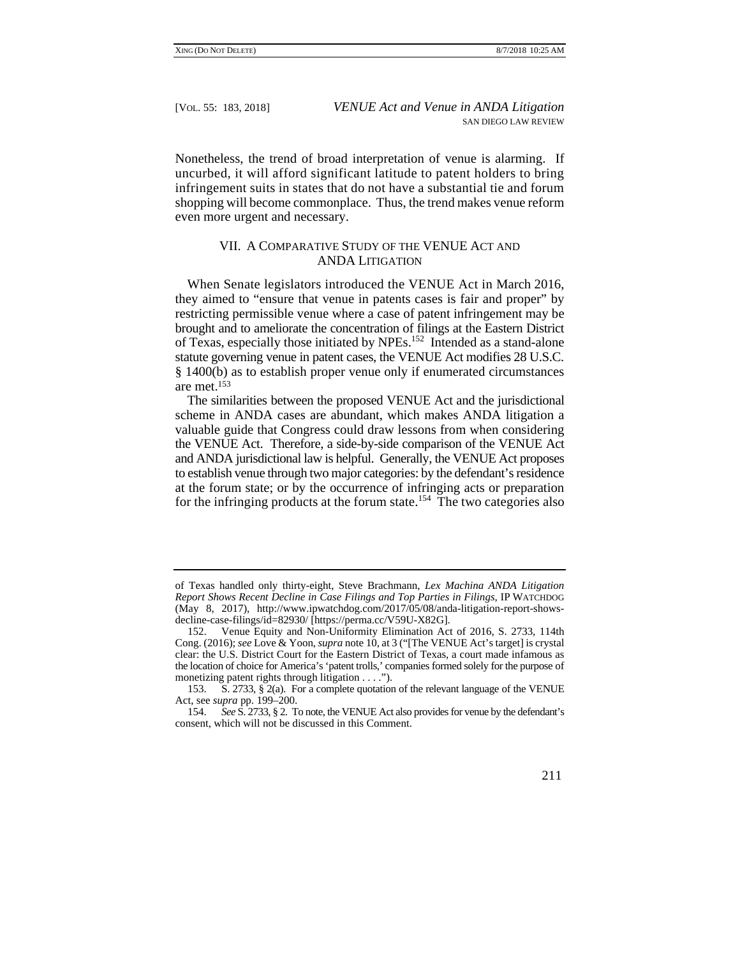Nonetheless, the trend of broad interpretation of venue is alarming. If uncurbed, it will afford significant latitude to patent holders to bring infringement suits in states that do not have a substantial tie and forum shopping will become commonplace. Thus, the trend makes venue reform even more urgent and necessary.

# VII. A COMPARATIVE STUDY OF THE VENUE ACT AND ANDA LITIGATION

 restricting permissible venue where a case of patent infringement may be When Senate legislators introduced the VENUE Act in March 2016, they aimed to "ensure that venue in patents cases is fair and proper" by brought and to ameliorate the concentration of filings at the Eastern District of Texas, especially those initiated by NPEs.152 Intended as a stand-alone statute governing venue in patent cases, the VENUE Act modifies 28 U.S.C. § 1400(b) as to establish proper venue only if enumerated circumstances are met.153

 to establish venue through two major categories: by the defendant's residence for the infringing products at the forum state.<sup>154</sup> The two categories also The similarities between the proposed VENUE Act and the jurisdictional scheme in ANDA cases are abundant, which makes ANDA litigation a valuable guide that Congress could draw lessons from when considering the VENUE Act. Therefore, a side-by-side comparison of the VENUE Act and ANDA jurisdictional law is helpful. Generally, the VENUE Act proposes at the forum state; or by the occurrence of infringing acts or preparation

<sup>154.</sup> *See* S. 2733, § 2. To note, the VENUE Act also provides for venue by the defendant's consent, which will not be discussed in this Comment.



of Texas handled only thirty-eight, Steve Brachmann, *Lex Machina ANDA Litigation Report Shows Recent Decline in Case Filings and Top Parties in Filings*, IP WATCHDOG (May 8, 2017), http://www.ipwatchdog.com/2017/05/08/anda-litigation-report-showsdecline-case-filings/id=82930/ [https://perma.cc/V59U-X82G].

 the location of choice for America's 'patent trolls,' companies formed solely for the purpose of 152. Venue Equity and Non-Uniformity Elimination Act of 2016, S. 2733, 114th Cong. (2016); *see* Love & Yoon, *supra* note 10, at 3 ("[The VENUE Act's target] is crystal clear: the U.S. District Court for the Eastern District of Texas, a court made infamous as monetizing patent rights through litigation . . . .").

<sup>153.</sup> S. 2733, § 2(a). For a complete quotation of the relevant language of the VENUE Act, see *supra* pp. 199–200.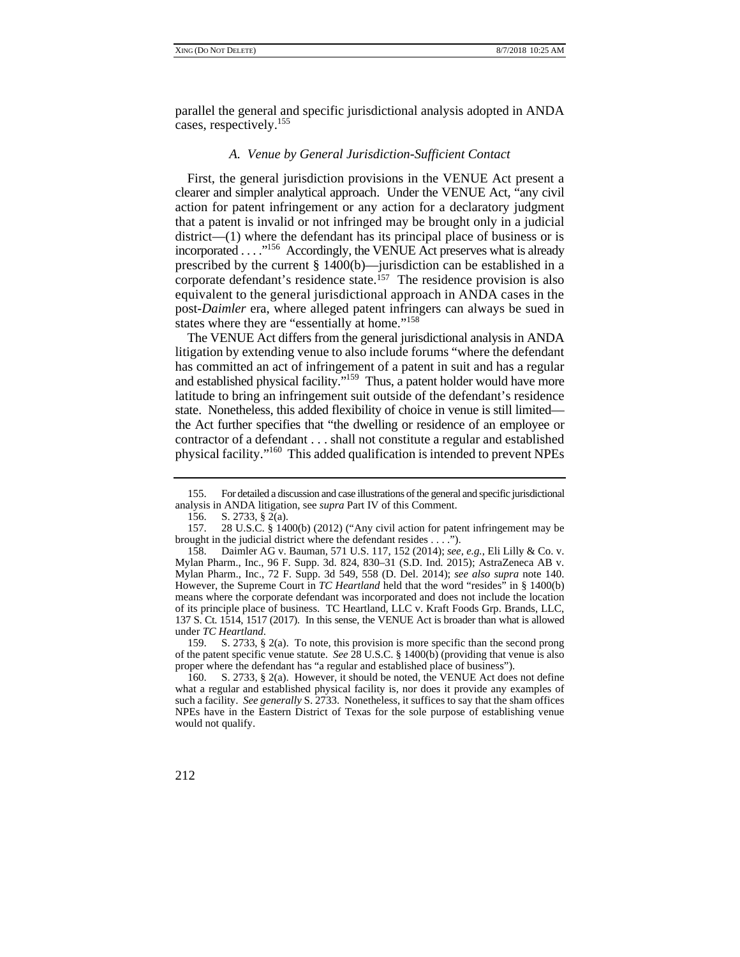parallel the general and specific jurisdictional analysis adopted in ANDA cases, respectively.155

# *A. Venue by General Jurisdiction-Sufficient Contact*

corporate defendant's residence state.<sup>157</sup> The residence provision is also First, the general jurisdiction provisions in the VENUE Act present a clearer and simpler analytical approach. Under the VENUE Act, "any civil action for patent infringement or any action for a declaratory judgment that a patent is invalid or not infringed may be brought only in a judicial district—(1) where the defendant has its principal place of business or is incorporated . . . ."156 Accordingly, the VENUE Act preserves what is already prescribed by the current § 1400(b)—jurisdiction can be established in a equivalent to the general jurisdictional approach in ANDA cases in the post-*Daimler* era, where alleged patent infringers can always be sued in states where they are "essentially at home."<sup>158</sup>

The VENUE Act differs from the general jurisdictional analysis in ANDA litigation by extending venue to also include forums "where the defendant has committed an act of infringement of a patent in suit and has a regular and established physical facility."<sup>159</sup> Thus, a patent holder would have more latitude to bring an infringement suit outside of the defendant's residence state. Nonetheless, this added flexibility of choice in venue is still limited the Act further specifies that "the dwelling or residence of an employee or contractor of a defendant . . . shall not constitute a regular and established physical facility."160 This added qualification is intended to prevent NPEs

<sup>160.</sup> S. 2733, § 2(a). However, it should be noted, the VENUE Act does not define what a regular and established physical facility is, nor does it provide any examples of such a facility. *See generally* S. 2733. Nonetheless, it suffices to say that the sham offices NPEs have in the Eastern District of Texas for the sole purpose of establishing venue would not qualify.



<sup>155.</sup> For detailed a discussion and case illustrations of the general and specific jurisdictional analysis in ANDA litigation, see *supra* Part IV of this Comment.

<sup>156.</sup> S. 2733, § 2(a).

<sup>157. 28</sup> U.S.C. § 1400(b) (2012) ("Any civil action for patent infringement may be brought in the judicial district where the defendant resides . . . .").

 means where the corporate defendant was incorporated and does not include the location 158. Daimler AG v. Bauman, 571 U.S. 117, 152 (2014); *see, e.g.*, Eli Lilly & Co. v. Mylan Pharm., Inc., 96 F. Supp. 3d. 824, 830–31 (S.D. Ind. 2015); AstraZeneca AB v. Mylan Pharm., Inc., 72 F. Supp. 3d 549, 558 (D. Del. 2014); *see also supra* note 140. However, the Supreme Court in *TC Heartland* held that the word "resides" in § 1400(b) of its principle place of business. TC Heartland, LLC v. Kraft Foods Grp. Brands, LLC, 137 S. Ct. 1514, 1517 (2017). In this sense, the VENUE Act is broader than what is allowed under *TC Heartland*.

<sup>159.</sup> S. 2733, § 2(a). To note, this provision is more specific than the second prong of the patent specific venue statute. *See* 28 U.S.C. § 1400(b) (providing that venue is also proper where the defendant has "a regular and established place of business").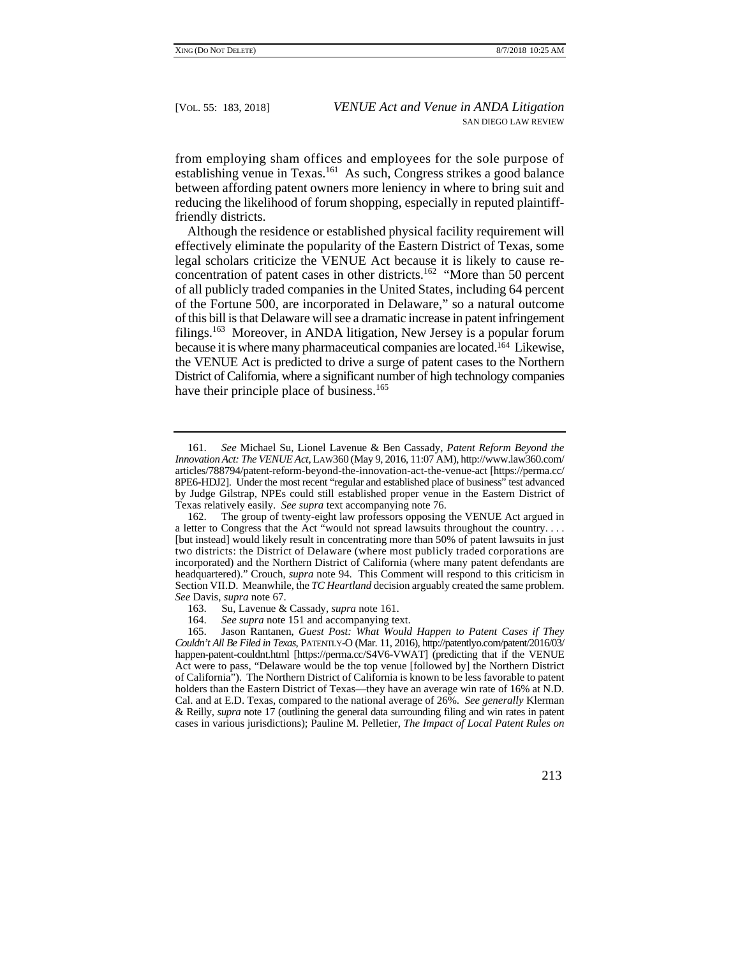from employing sham offices and employees for the sole purpose of establishing venue in Texas.<sup>161</sup> As such, Congress strikes a good balance between affording patent owners more leniency in where to bring suit and reducing the likelihood of forum shopping, especially in reputed plaintifffriendly districts.

Although the residence or established physical facility requirement will effectively eliminate the popularity of the Eastern District of Texas, some legal scholars criticize the VENUE Act because it is likely to cause reconcentration of patent cases in other districts.<sup>162</sup> "More than 50 percent of all publicly traded companies in the United States, including 64 percent of the Fortune 500, are incorporated in Delaware," so a natural outcome of this bill is that Delaware will see a dramatic increase in patent infringement filings.<sup>163</sup> Moreover, in ANDA litigation, New Jersey is a popular forum because it is where many pharmaceutical companies are located.164 Likewise, the VENUE Act is predicted to drive a surge of patent cases to the Northern District of California, where a significant number of high technology companies have their principle place of business.<sup>165</sup>

 & Reilly, *supra* note 17 (outlining the general data surrounding filing and win rates in patent 165. Jason Rantanen, *Guest Post: What Would Happen to Patent Cases if They Couldn't All Be Filed in Texas*, PATENTLY-O (Mar. 11, 2016), http://patentlyo.com/patent/2016/03/ happen-patent-couldnt.html [https://perma.cc/S4V6-VWAT] (predicting that if the VENUE Act were to pass, "Delaware would be the top venue [followed by] the Northern District of California"). The Northern District of California is known to be less favorable to patent holders than the Eastern District of Texas—they have an average win rate of 16% at N.D. Cal. and at E.D. Texas, compared to the national average of 26%. *See generally* Klerman cases in various jurisdictions); Pauline M. Pelletier, *The Impact of Local Patent Rules on* 



 8PE6-HDJ2]. Under the most recent "regular and established place of business" test advanced Texas relatively easily. *See supra* text accompanying note 76. 161. *See* Michael Su, Lionel Lavenue & Ben Cassady, *Patent Reform Beyond the Innovation Act: The VENUE Act*, LAW360 (May 9, 2016, 11:07 AM), http://www.law360.com/ articles/788794/patent-reform-beyond-the-innovation-act-the-venue-act [https://perma.cc/ by Judge Gilstrap, NPEs could still established proper venue in the Eastern District of

<sup>162.</sup> The group of twenty-eight law professors opposing the VENUE Act argued in a letter to Congress that the Act "would not spread lawsuits throughout the country. . . . [but instead] would likely result in concentrating more than 50% of patent lawsuits in just two districts: the District of Delaware (where most publicly traded corporations are incorporated) and the Northern District of California (where many patent defendants are headquartered)." Crouch, *supra* note 94. This Comment will respond to this criticism in Section VII.D. Meanwhile, the *TC Heartland* decision arguably created the same problem. *See* Davis, *supra* note 67.

<sup>163.</sup> Su, Lavenue & Cassady, *supra* note 161.

<sup>164.</sup> *See supra* note 151 and accompanying text.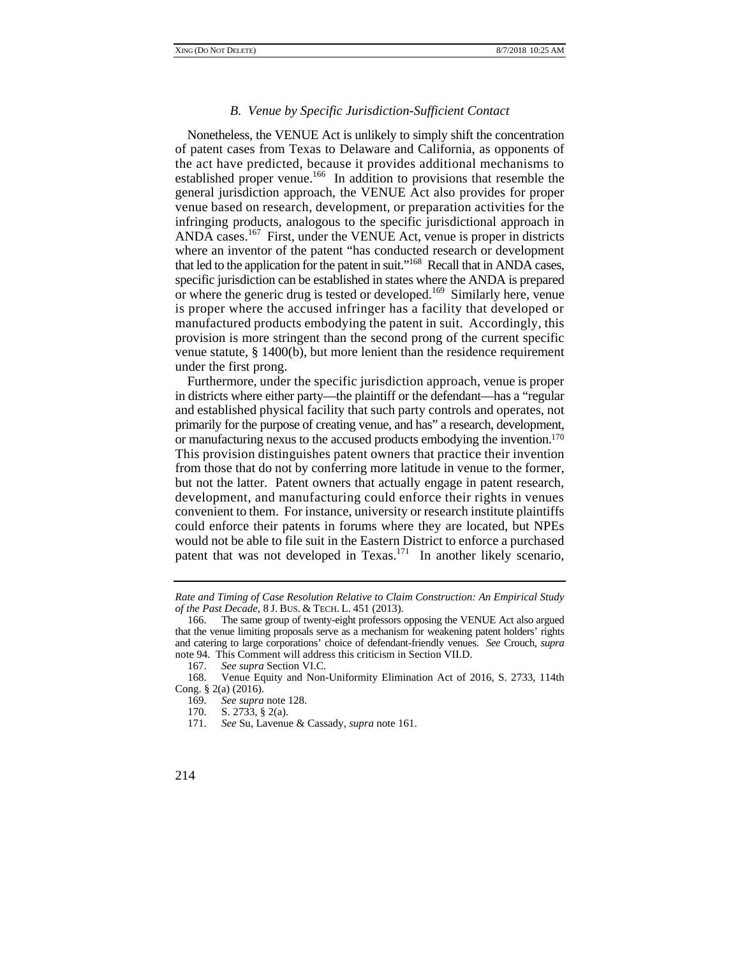#### *B. Venue by Specific Jurisdiction-Sufficient Contact*

Nonetheless, the VENUE Act is unlikely to simply shift the concentration of patent cases from Texas to Delaware and California, as opponents of the act have predicted, because it provides additional mechanisms to established proper venue.166 In addition to provisions that resemble the general jurisdiction approach, the VENUE Act also provides for proper venue based on research, development, or preparation activities for the infringing products, analogous to the specific jurisdictional approach in ANDA cases.167 First, under the VENUE Act, venue is proper in districts where an inventor of the patent "has conducted research or development that led to the application for the patent in suit."168 Recall that in ANDA cases, specific jurisdiction can be established in states where the ANDA is prepared or where the generic drug is tested or developed.169 Similarly here, venue is proper where the accused infringer has a facility that developed or manufactured products embodying the patent in suit. Accordingly, this provision is more stringent than the second prong of the current specific venue statute, § 1400(b), but more lenient than the residence requirement under the first prong.

 Furthermore, under the specific jurisdiction approach, venue is proper or manufacturing nexus to the accused products embodying the invention.<sup>170</sup> in districts where either party—the plaintiff or the defendant—has a "regular and established physical facility that such party controls and operates, not primarily for the purpose of creating venue, and has" a research, development, This provision distinguishes patent owners that practice their invention from those that do not by conferring more latitude in venue to the former, but not the latter. Patent owners that actually engage in patent research, development, and manufacturing could enforce their rights in venues convenient to them. For instance, university or research institute plaintiffs could enforce their patents in forums where they are located, but NPEs would not be able to file suit in the Eastern District to enforce a purchased patent that was not developed in Texas.<sup>171</sup> In another likely scenario,

 *of the Past Decade*, 8 J. BUS. & TECH. L. 451 (2013). *Rate and Timing of Case Resolution Relative to Claim Construction: An Empirical Study* 

<sup>166.</sup> The same group of twenty-eight professors opposing the VENUE Act also argued that the venue limiting proposals serve as a mechanism for weakening patent holders' rights and catering to large corporations' choice of defendant-friendly venues. *See* Crouch, *supra* note 94. This Comment will address this criticism in Section VII.D.

 <sup>167.</sup> *See supra* Section VI.C.

<sup>168.</sup> Venue Equity and Non-Uniformity Elimination Act of 2016, S. 2733, 114th Cong. § 2(a) (2016).

<sup>169.</sup> *See supra* note 128.

<sup>170.</sup> S. 2733, § 2(a).

<sup>171.</sup> *See* Su, Lavenue & Cassady, *supra* note 161.

<sup>214</sup>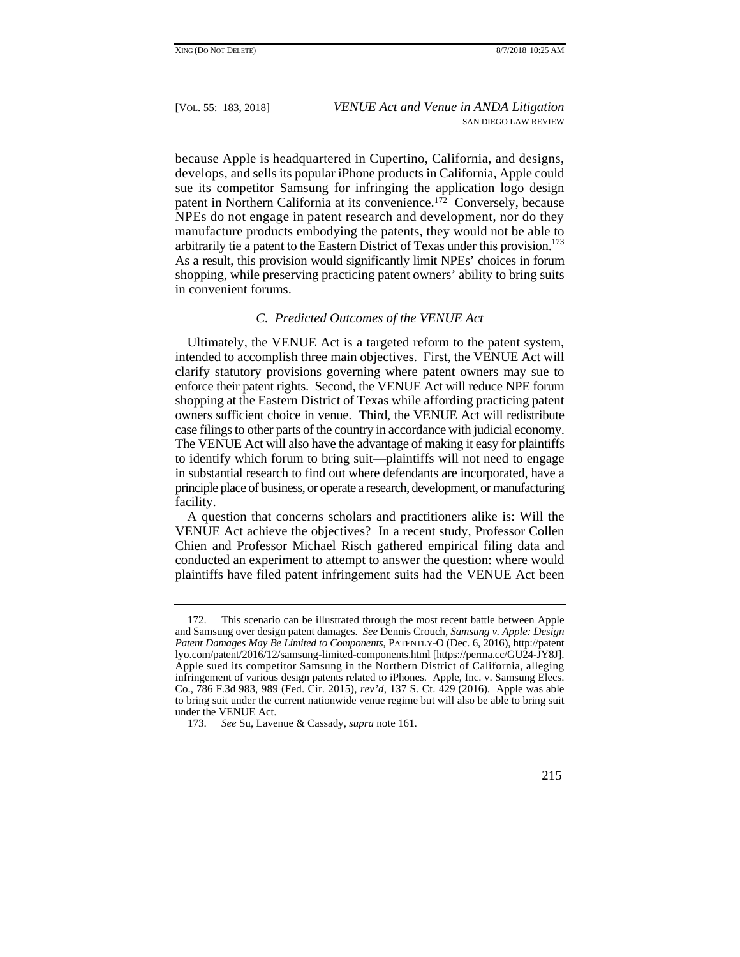patent in Northern California at its convenience.<sup>172</sup> Conversely, because arbitrarily tie a patent to the Eastern District of Texas under this provision.<sup>173</sup> because Apple is headquartered in Cupertino, California, and designs, develops, and sells its popular iPhone products in California, Apple could sue its competitor Samsung for infringing the application logo design NPEs do not engage in patent research and development, nor do they manufacture products embodying the patents, they would not be able to As a result, this provision would significantly limit NPEs' choices in forum shopping, while preserving practicing patent owners' ability to bring suits in convenient forums.

# *C. Predicted Outcomes of the VENUE Act*

 owners sufficient choice in venue. Third, the VENUE Act will redistribute Ultimately, the VENUE Act is a targeted reform to the patent system, intended to accomplish three main objectives. First, the VENUE Act will clarify statutory provisions governing where patent owners may sue to enforce their patent rights. Second, the VENUE Act will reduce NPE forum shopping at the Eastern District of Texas while affording practicing patent case filings to other parts of the country in accordance with judicial economy. The VENUE Act will also have the advantage of making it easy for plaintiffs to identify which forum to bring suit—plaintiffs will not need to engage in substantial research to find out where defendants are incorporated, have a principle place of business, or operate a research, development, or manufacturing facility.

 VENUE Act achieve the objectives? In a recent study, Professor Collen A question that concerns scholars and practitioners alike is: Will the Chien and Professor Michael Risch gathered empirical filing data and conducted an experiment to attempt to answer the question: where would plaintiffs have filed patent infringement suits had the VENUE Act been

 lyo.com/patent/2016/12/samsung-limited-components.html [https://perma.cc/GU24-JY8J]. Co., 786 F.3d 983, 989 (Fed. Cir. 2015), *rev'd*, 137 S. Ct. 429 (2016). Apple was able 172. This scenario can be illustrated through the most recent battle between Apple and Samsung over design patent damages. *See* Dennis Crouch, *Samsung v. Apple: Design Patent Damages May Be Limited to Components*, PATENTLY-O (Dec. 6, 2016), http://patent Apple sued its competitor Samsung in the Northern District of California, alleging infringement of various design patents related to iPhones. Apple, Inc. v. Samsung Elecs. to bring suit under the current nationwide venue regime but will also be able to bring suit under the VENUE Act.

<sup>173.</sup> *See* Su, Lavenue & Cassady, *supra* note 161.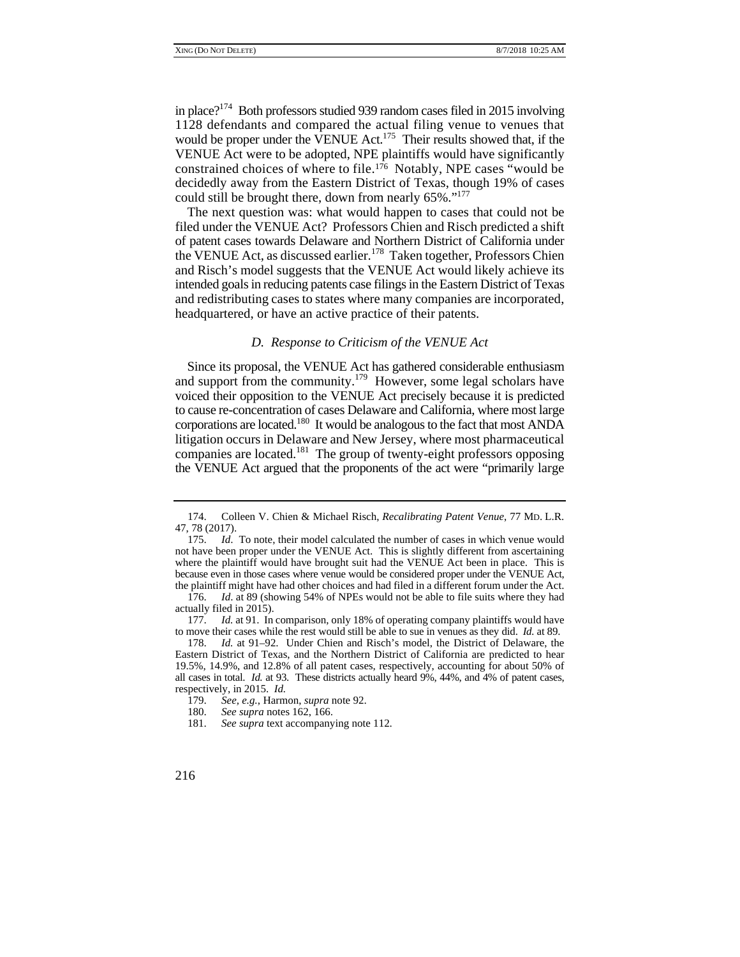in place?<sup>174</sup> Both professors studied 939 random cases filed in 2015 involving 1128 defendants and compared the actual filing venue to venues that would be proper under the VENUE Act.<sup>175</sup> Their results showed that, if the VENUE Act were to be adopted, NPE plaintiffs would have significantly constrained choices of where to file.176 Notably, NPE cases "would be decidedly away from the Eastern District of Texas, though 19% of cases could still be brought there, down from nearly 65%."<sup>177</sup>

 intended goals in reducing patents case filings in the Eastern District of Texas The next question was: what would happen to cases that could not be filed under the VENUE Act? Professors Chien and Risch predicted a shift of patent cases towards Delaware and Northern District of California under the VENUE Act, as discussed earlier.<sup>178</sup> Taken together, Professors Chien and Risch's model suggests that the VENUE Act would likely achieve its and redistributing cases to states where many companies are incorporated, headquartered, or have an active practice of their patents.

# *D. Response to Criticism of the VENUE Act*

Since its proposal, the VENUE Act has gathered considerable enthusiasm and support from the community.<sup>179</sup> However, some legal scholars have voiced their opposition to the VENUE Act precisely because it is predicted to cause re-concentration of cases Delaware and California, where most large corporations are located.180 It would be analogous to the fact that most ANDA litigation occurs in Delaware and New Jersey, where most pharmaceutical companies are located.181 The group of twenty-eight professors opposing the VENUE Act argued that the proponents of the act were "primarily large

<sup>174.</sup> Colleen V. Chien & Michael Risch, *Recalibrating Patent Venue*, 77 MD. L.R. 47, 78 (2017).

<sup>175.</sup> *Id*. To note, their model calculated the number of cases in which venue would not have been proper under the VENUE Act. This is slightly different from ascertaining where the plaintiff would have brought suit had the VENUE Act been in place. This is because even in those cases where venue would be considered proper under the VENUE Act, the plaintiff might have had other choices and had filed in a different forum under the Act.

<sup>176.</sup> *Id*. at 89 (showing 54% of NPEs would not be able to file suits where they had actually filed in 2015).

<sup>177.</sup> *Id.* at 91. In comparison, only 18% of operating company plaintiffs would have to move their cases while the rest would still be able to sue in venues as they did. *Id.* at 89.

 all cases in total. *Id.* at 93. These districts actually heard 9%, 44%, and 4% of patent cases, 178. *Id.* at 91–92. Under Chien and Risch's model, the District of Delaware, the Eastern District of Texas, and the Northern District of California are predicted to hear 19.5%, 14.9%, and 12.8% of all patent cases, respectively, accounting for about 50% of respectively, in 2015. *Id.*

 <sup>179.</sup> *See, e.g.*, Harmon, *supra* note 92.

<sup>180.</sup> *See supra* notes 162, 166.

<sup>181.</sup> *See supra* text accompanying note 112.

<sup>216</sup>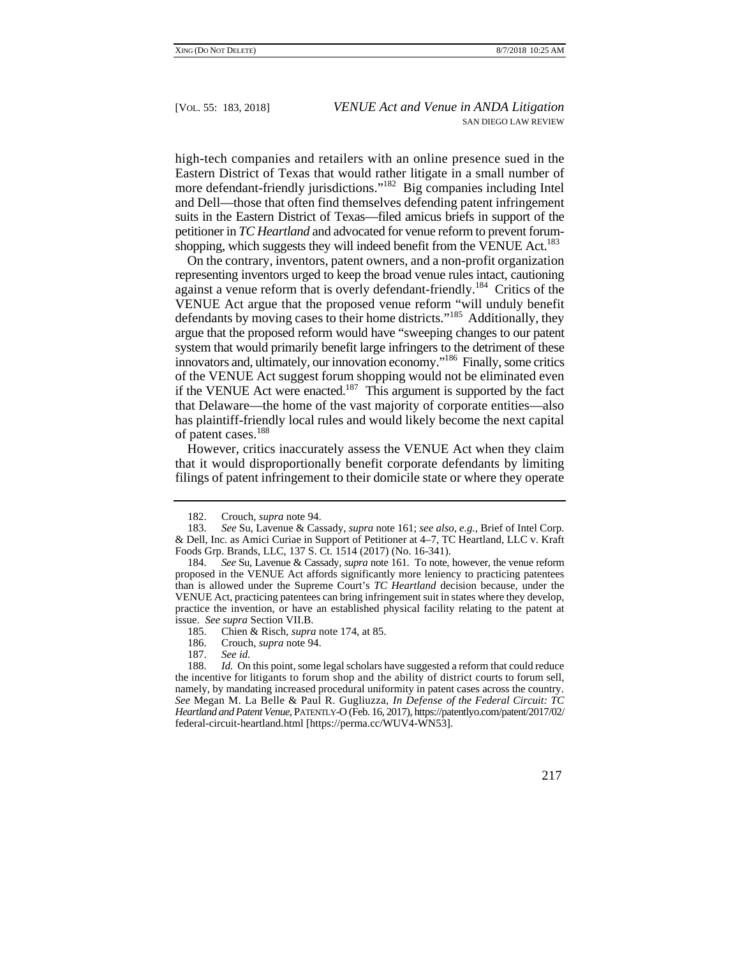high-tech companies and retailers with an online presence sued in the more defendant-friendly jurisdictions."<sup>182</sup> Big companies including Intel Eastern District of Texas that would rather litigate in a small number of and Dell—those that often find themselves defending patent infringement suits in the Eastern District of Texas—filed amicus briefs in support of the petitioner in *TC Heartland* and advocated for venue reform to prevent forumshopping, which suggests they will indeed benefit from the VENUE Act.<sup>183</sup>

 representing inventors urged to keep the broad venue rules intact, cautioning defendants by moving cases to their home districts."<sup>185</sup> Additionally, they On the contrary, inventors, patent owners, and a non-profit organization against a venue reform that is overly defendant-friendly.<sup>184</sup> Critics of the VENUE Act argue that the proposed venue reform "will unduly benefit argue that the proposed reform would have "sweeping changes to our patent system that would primarily benefit large infringers to the detriment of these innovators and, ultimately, our innovation economy."186 Finally, some critics of the VENUE Act suggest forum shopping would not be eliminated even if the VENUE Act were enacted.<sup>187</sup> This argument is supported by the fact that Delaware—the home of the vast majority of corporate entities—also has plaintiff-friendly local rules and would likely become the next capital of patent cases.<sup>188</sup>

 filings of patent infringement to their domicile state or where they operate However, critics inaccurately assess the VENUE Act when they claim that it would disproportionally benefit corporate defendants by limiting

186. Crouch, *supra* note 94.

187. *See id*.

 the incentive for litigants to forum shop and the ability of district courts to forum sell, namely, by mandating increased procedural uniformity in patent cases across the country. *See* Megan M. La Belle & Paul R. Gugliuzza, *In Defense of the Federal Circuit: TC*  188. *Id.* On this point, some legal scholars have suggested a reform that could reduce *Heartland and Patent Venue*, PATENTLY-O (Feb. 16, 2017), https://patentlyo.com/patent/2017/02/ federal-circuit-heartland.html [https://perma.cc/WUV4-WN53].



 <sup>182.</sup> Crouch, *supra* note 94.

<sup>183.</sup> *See* Su, Lavenue & Cassady, *supra* note 161; *see also*, *e.g.*, Brief of Intel Corp. & Dell, Inc. as Amici Curiae in Support of Petitioner at 4–7, TC Heartland, LLC v. Kraft Foods Grp. Brands, LLC, 137 S. Ct. 1514 (2017) (No. 16-341).

 184. *See* Su, Lavenue & Cassady, *supra* note 161. To note, however, the venue reform issue. *See supra* Section VII.B. proposed in the VENUE Act affords significantly more leniency to practicing patentees than is allowed under the Supreme Court's *TC Heartland* decision because, under the VENUE Act, practicing patentees can bring infringement suit in states where they develop, practice the invention, or have an established physical facility relating to the patent at

<sup>185.</sup> Chien & Risch, *supra* note 174, at 85.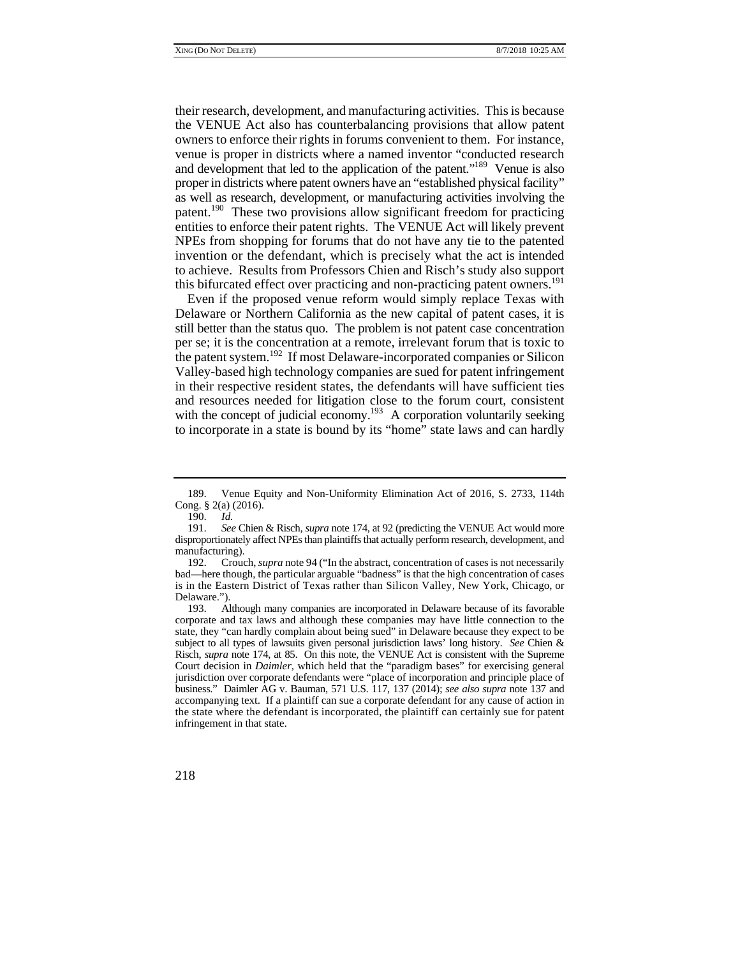and development that led to the application of the patent."<sup>189</sup> Venue is also invention or the defendant, which is precisely what the act is intended their research, development, and manufacturing activities. This is because the VENUE Act also has counterbalancing provisions that allow patent owners to enforce their rights in forums convenient to them. For instance, venue is proper in districts where a named inventor "conducted research proper in districts where patent owners have an "established physical facility" as well as research, development, or manufacturing activities involving the patent.190 These two provisions allow significant freedom for practicing entities to enforce their patent rights. The VENUE Act will likely prevent NPEs from shopping for forums that do not have any tie to the patented to achieve. Results from Professors Chien and Risch's study also support this bifurcated effect over practicing and non-practicing patent owners.<sup>191</sup>

Even if the proposed venue reform would simply replace Texas with Delaware or Northern California as the new capital of patent cases, it is still better than the status quo. The problem is not patent case concentration per se; it is the concentration at a remote, irrelevant forum that is toxic to the patent system.192 If most Delaware-incorporated companies or Silicon Valley-based high technology companies are sued for patent infringement in their respective resident states, the defendants will have sufficient ties and resources needed for litigation close to the forum court, consistent with the concept of judicial economy.<sup>193</sup> A corporation voluntarily seeking to incorporate in a state is bound by its "home" state laws and can hardly

<sup>189.</sup> Venue Equity and Non-Uniformity Elimination Act of 2016, S. 2733, 114th Cong. § 2(a) (2016).

<sup>190.</sup> *Id.*

 191. *See* Chien & Risch, *supra* note 174, at 92 (predicting the VENUE Act would more disproportionately affect NPEs than plaintiffs that actually perform research, development, and manufacturing).

 is in the Eastern District of Texas rather than Silicon Valley, New York, Chicago, or 192. Crouch, *supra* note 94 ("In the abstract, concentration of cases is not necessarily bad—here though, the particular arguable "badness" is that the high concentration of cases Delaware.").

 subject to all types of lawsuits given personal jurisdiction laws' long history. *See* Chien & 193. Although many companies are incorporated in Delaware because of its favorable corporate and tax laws and although these companies may have little connection to the state, they "can hardly complain about being sued" in Delaware because they expect to be Risch, *supra* note 174, at 85. On this note, the VENUE Act is consistent with the Supreme Court decision in *Daimler*, which held that the "paradigm bases" for exercising general jurisdiction over corporate defendants were "place of incorporation and principle place of business." Daimler AG v. Bauman, 571 U.S. 117, 137 (2014); *see also supra* note 137 and accompanying text. If a plaintiff can sue a corporate defendant for any cause of action in the state where the defendant is incorporated, the plaintiff can certainly sue for patent infringement in that state.

<sup>218</sup>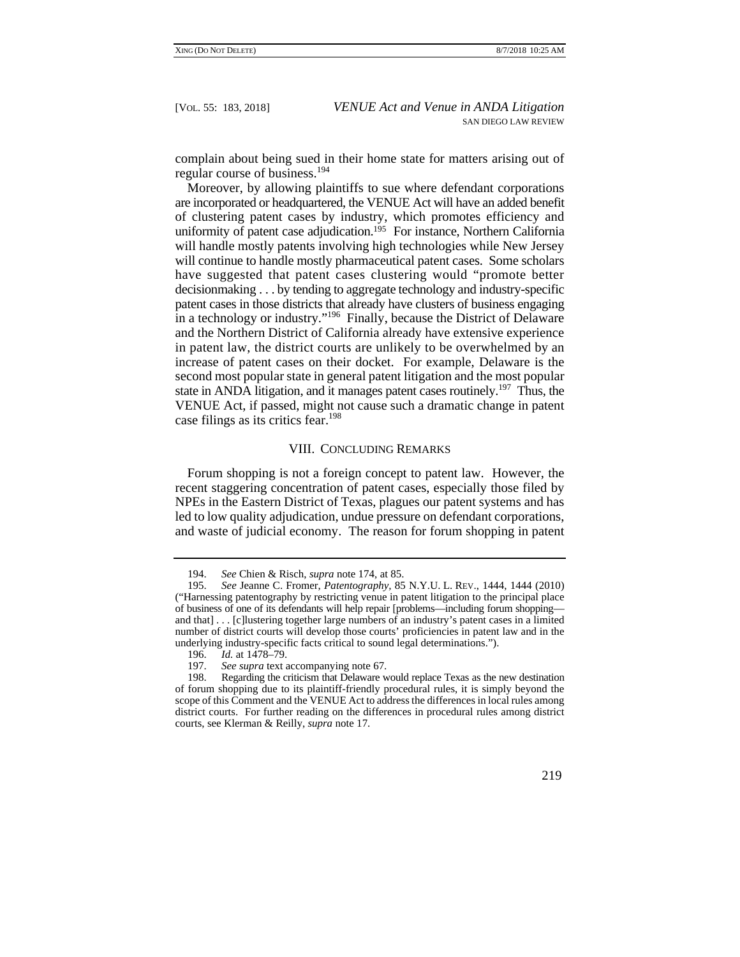complain about being sued in their home state for matters arising out of regular course of business.<sup>194</sup>

 decisionmaking . . . by tending to aggregate technology and industry-specific in patent law, the district courts are unlikely to be overwhelmed by an Moreover, by allowing plaintiffs to sue where defendant corporations are incorporated or headquartered, the VENUE Act will have an added benefit of clustering patent cases by industry, which promotes efficiency and uniformity of patent case adjudication.<sup>195</sup> For instance, Northern California will handle mostly patents involving high technologies while New Jersey will continue to handle mostly pharmaceutical patent cases. Some scholars have suggested that patent cases clustering would "promote better patent cases in those districts that already have clusters of business engaging in a technology or industry."196 Finally, because the District of Delaware and the Northern District of California already have extensive experience increase of patent cases on their docket. For example, Delaware is the second most popular state in general patent litigation and the most popular state in ANDA litigation, and it manages patent cases routinely.<sup>197</sup> Thus, the VENUE Act, if passed, might not cause such a dramatic change in patent case filings as its critics fear.<sup>198</sup>

# VIII. CONCLUDING REMARKS

Forum shopping is not a foreign concept to patent law. However, the recent staggering concentration of patent cases, especially those filed by NPEs in the Eastern District of Texas, plagues our patent systems and has led to low quality adjudication, undue pressure on defendant corporations, and waste of judicial economy. The reason for forum shopping in patent

<sup>198.</sup> Regarding the criticism that Delaware would replace Texas as the new destination of forum shopping due to its plaintiff-friendly procedural rules, it is simply beyond the scope of this Comment and the VENUE Act to address the differences in local rules among district courts. For further reading on the differences in procedural rules among district courts, see Klerman & Reilly, *supra* note 17.



<sup>194.</sup> *See* Chien & Risch, *supra* note 174, at 85.

 195. *See* Jeanne C. Fromer, *Patentography,* 85 N.Y.U. L. REV., 1444, 1444 (2010) of business of one of its defendants will help repair [problems—including forum shopping— ("Harnessing patentography by restricting venue in patent litigation to the principal place and that] . . . [c]lustering together large numbers of an industry's patent cases in a limited number of district courts will develop those courts' proficiencies in patent law and in the underlying industry-specific facts critical to sound legal determinations.").

<sup>196.</sup> *Id.* at 1478–79.

<sup>197.</sup> *See supra* text accompanying note 67.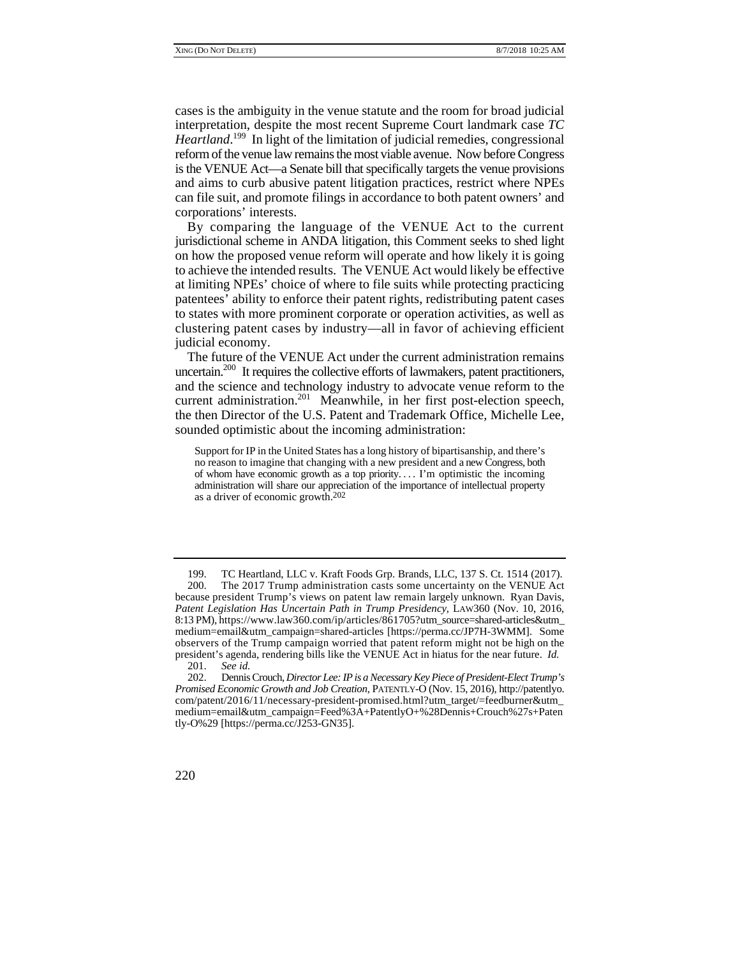cases is the ambiguity in the venue statute and the room for broad judicial interpretation, despite the most recent Supreme Court landmark case *TC*  Heartland.<sup>199</sup> In light of the limitation of judicial remedies, congressional reform of the venue law remains the most viable avenue. Now before Congress is the VENUE Act—a Senate bill that specifically targets the venue provisions and aims to curb abusive patent litigation practices, restrict where NPEs can file suit, and promote filings in accordance to both patent owners' and corporations' interests.

By comparing the language of the VENUE Act to the current jurisdictional scheme in ANDA litigation, this Comment seeks to shed light on how the proposed venue reform will operate and how likely it is going to achieve the intended results. The VENUE Act would likely be effective at limiting NPEs' choice of where to file suits while protecting practicing patentees' ability to enforce their patent rights, redistributing patent cases to states with more prominent corporate or operation activities, as well as clustering patent cases by industry—all in favor of achieving efficient judicial economy.

The future of the VENUE Act under the current administration remains uncertain.200 It requires the collective efforts of lawmakers, patent practitioners, and the science and technology industry to advocate venue reform to the current administration.<sup>201</sup> Meanwhile, in her first post-election speech, the then Director of the U.S. Patent and Trademark Office, Michelle Lee, sounded optimistic about the incoming administration:

 no reason to imagine that changing with a new president and a new Congress, both of whom have economic growth as a top priority. . . . I'm optimistic the incoming Support for IP in the United States has a long history of bipartisanship, and there's administration will share our appreciation of the importance of intellectual property as a driver of economic growth.202

 202. Dennis Crouch, *Director Lee: IP is a Necessary Key Piece of President-Elect Trump's Promised Economic Growth and Job Creation*, PATENTLY-O (Nov. 15, 2016), http://patentlyo. com/patent/2016/11/necessary-president-promised.html?utm\_target/=feedburner&utm\_ medium=email&utm\_campaign=Feed%3A+PatentlyO+%28Dennis+Crouch%27s+Paten tly-O%29 [https://perma.cc/J253-GN35].



 200. The 2017 Trump administration casts some uncertainty on the VENUE Act because president Trump's views on patent law remain largely unknown. Ryan Davis, observers of the Trump campaign worried that patent reform might not be high on the 199. TC Heartland, LLC v. Kraft Foods Grp. Brands, LLC, 137 S. Ct. 1514 (2017). *Patent Legislation Has Uncertain Path in Trump Presidency*, LAW360 (Nov. 10, 2016, 8:13 PM), https://www.law360.com/ip/articles/861705?utm\_source=shared-articles&utm\_ medium=email&utm\_campaign=shared-articles [https://perma.cc/JP7H-3WMM]. Some president's agenda, rendering bills like the VENUE Act in hiatus for the near future. *Id.*

 <sup>201.</sup> *See id.*